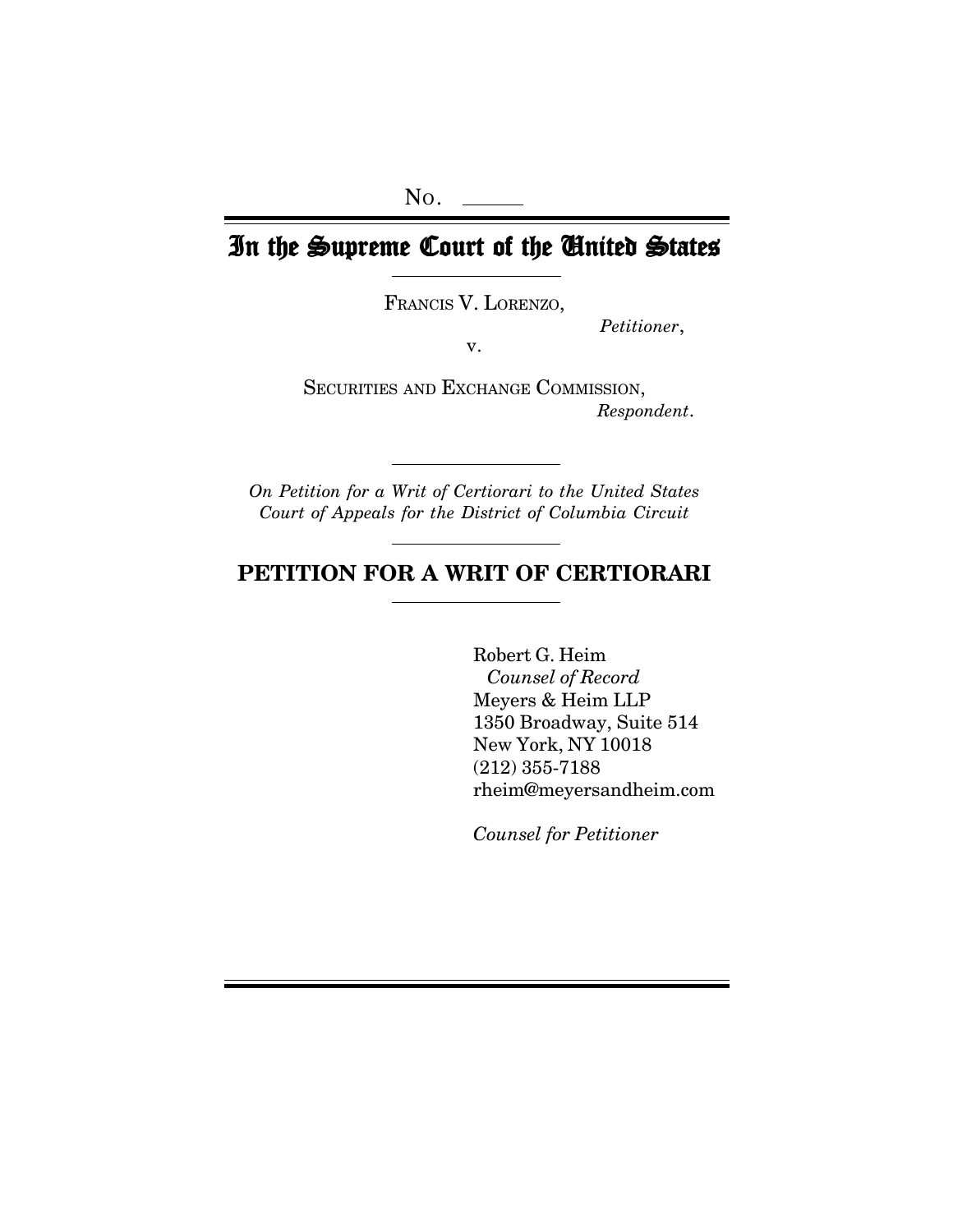# In the Supreme Court of the United States

FRANCIS V. LORENZO,

*Petitioner*,

v.

SECURITIES AND EXCHANGE COMMISSION, *Respondent*.

*On Petition for a Writ of Certiorari to the United States Court of Appeals for the District of Columbia Circuit*

# **PETITION FOR A WRIT OF CERTIORARI**

Robert G. Heim *Counsel of Record* Meyers & Heim LLP 1350 Broadway, Suite 514 New York, NY 10018 (212) 355-7188 rheim@meyersandheim.com

*Counsel for Petitioner*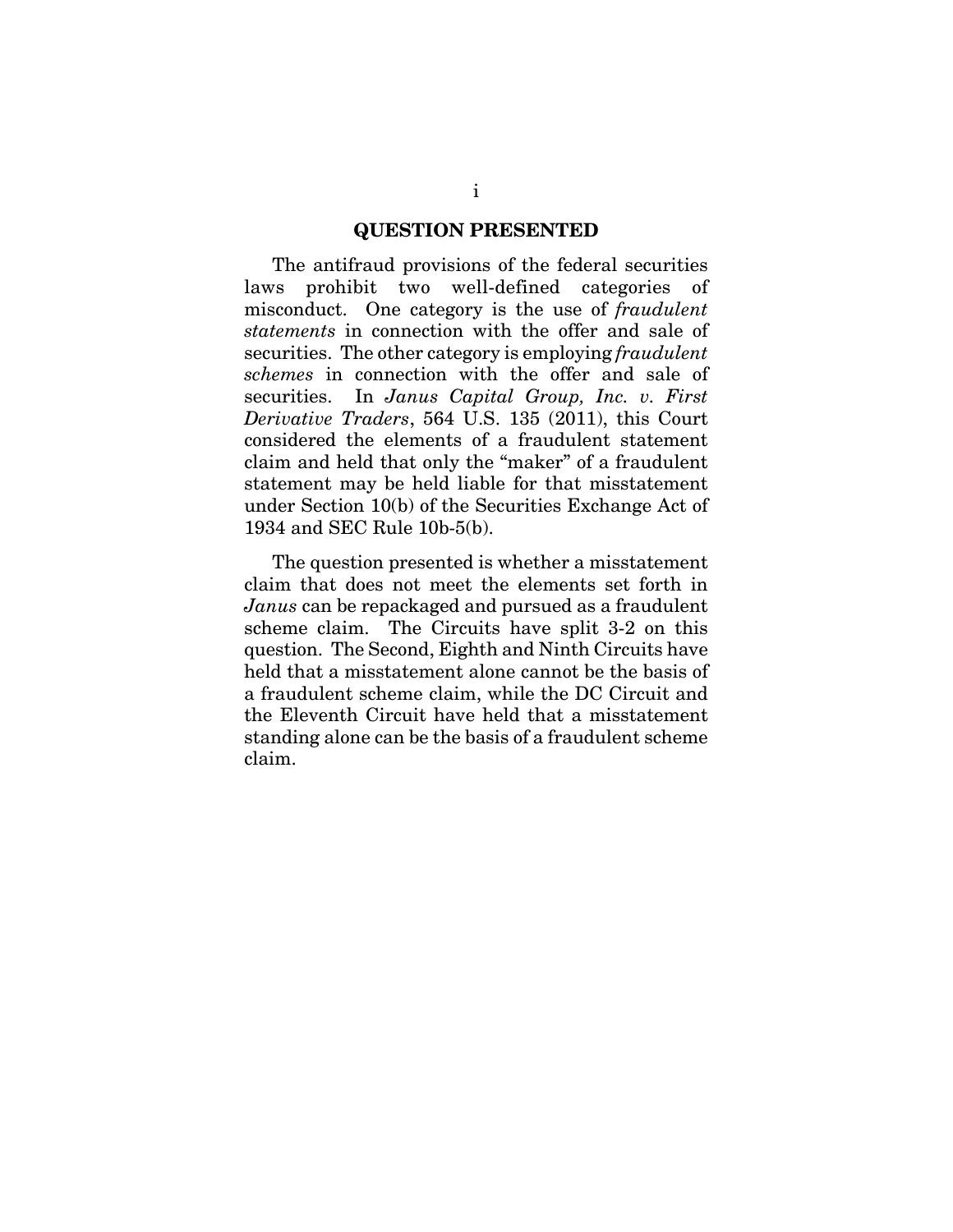#### **QUESTION PRESENTED**

The antifraud provisions of the federal securities laws prohibit two well-defined categories of misconduct. One category is the use of *fraudulent statements* in connection with the offer and sale of securities. The other category is employing *fraudulent schemes* in connection with the offer and sale of securities. In *Janus Capital Group, Inc. v. First Derivative Traders*, 564 U.S. 135 (2011), this Court considered the elements of a fraudulent statement claim and held that only the "maker" of a fraudulent statement may be held liable for that misstatement under Section 10(b) of the Securities Exchange Act of 1934 and SEC Rule 10b-5(b).

The question presented is whether a misstatement claim that does not meet the elements set forth in *Janus* can be repackaged and pursued as a fraudulent scheme claim. The Circuits have split 3-2 on this question. The Second, Eighth and Ninth Circuits have held that a misstatement alone cannot be the basis of a fraudulent scheme claim, while the DC Circuit and the Eleventh Circuit have held that a misstatement standing alone can be the basis of a fraudulent scheme claim.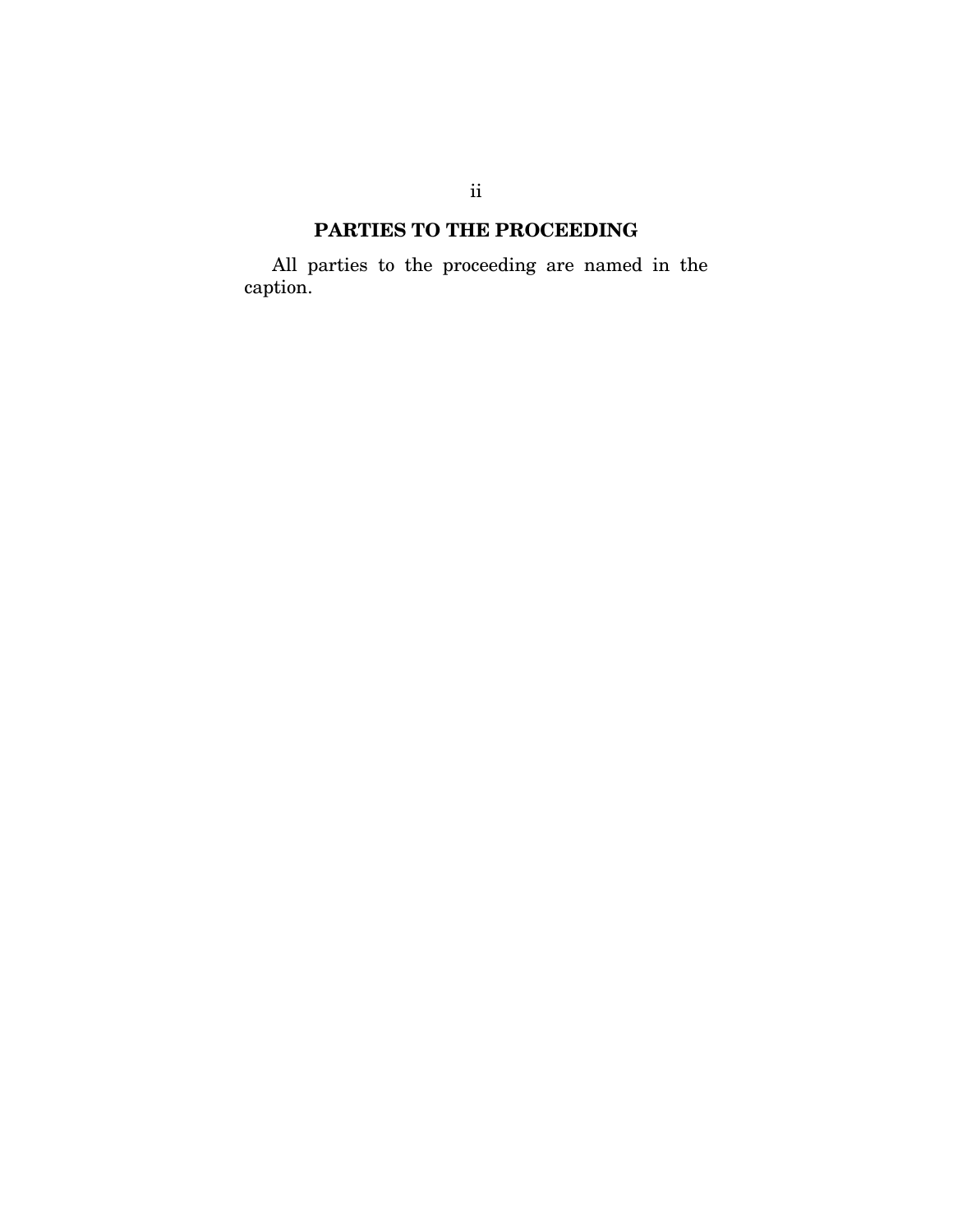# **PARTIES TO THE PROCEEDING**

All parties to the proceeding are named in the caption.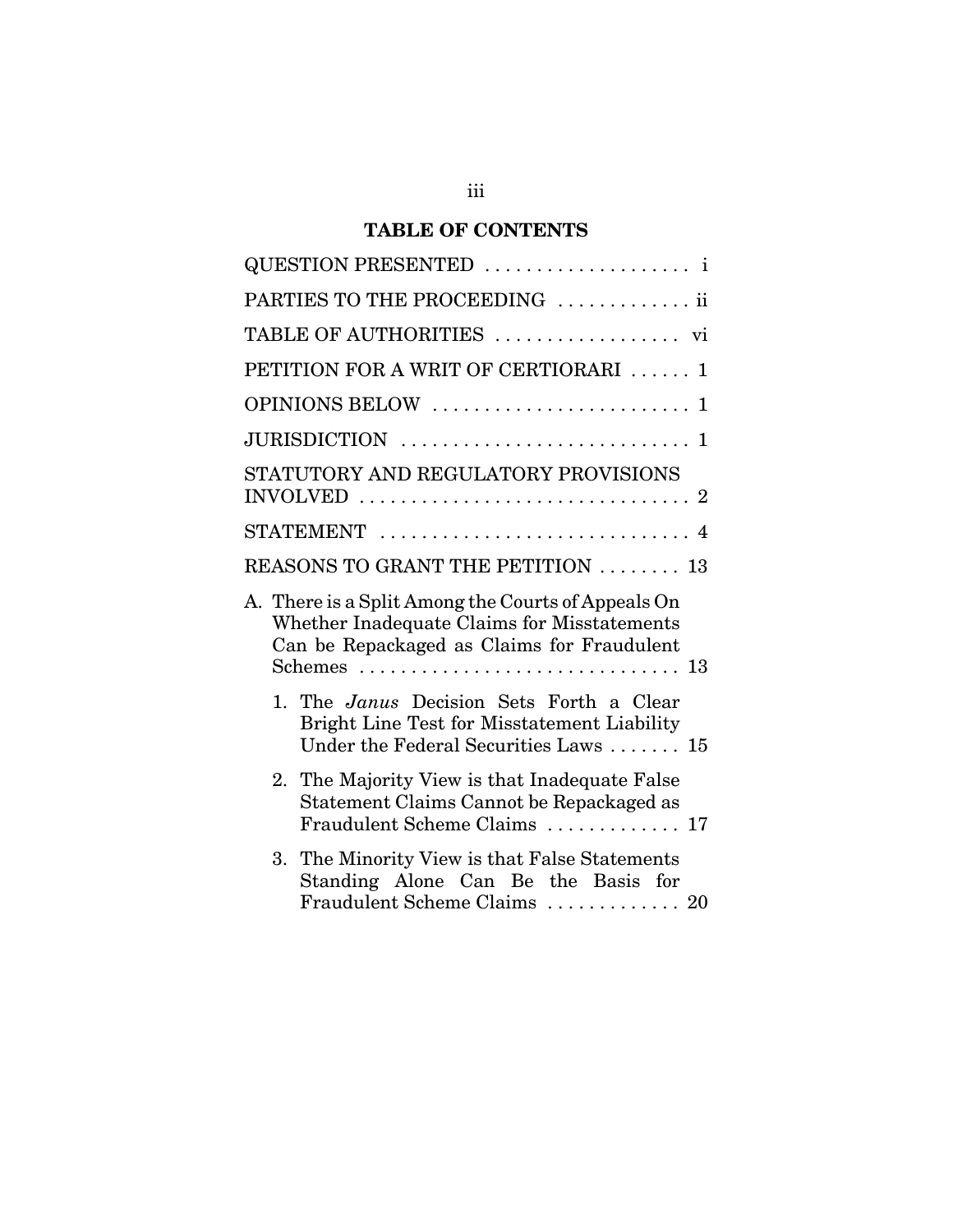# **TABLE OF CONTENTS**

| PARTIES TO THE PROCEEDING  ii                                                                                                                   |
|-------------------------------------------------------------------------------------------------------------------------------------------------|
| TABLE OF AUTHORITIES  vi                                                                                                                        |
| PETITION FOR A WRIT OF CERTIORARI<br>$\mathbf{1}$                                                                                               |
| OPINIONS BELOW<br>1                                                                                                                             |
|                                                                                                                                                 |
| STATUTORY AND REGULATORY PROVISIONS                                                                                                             |
|                                                                                                                                                 |
| REASONS TO GRANT THE PETITION  13                                                                                                               |
| A. There is a Split Among the Courts of Appeals On<br>Whether Inadequate Claims for Misstatements<br>Can be Repackaged as Claims for Fraudulent |
| 1. The <i>Janus</i> Decision Sets Forth a Clear<br>Bright Line Test for Misstatement Liability<br>Under the Federal Securities Laws  15         |
| 2. The Majority View is that Inadequate False<br>Statement Claims Cannot be Repackaged as<br>Fraudulent Scheme Claims  17                       |
| The Minority View is that False Statements<br>3.<br>Standing Alone Can Be the Basis for<br>Fraudulent Scheme Claims  20                         |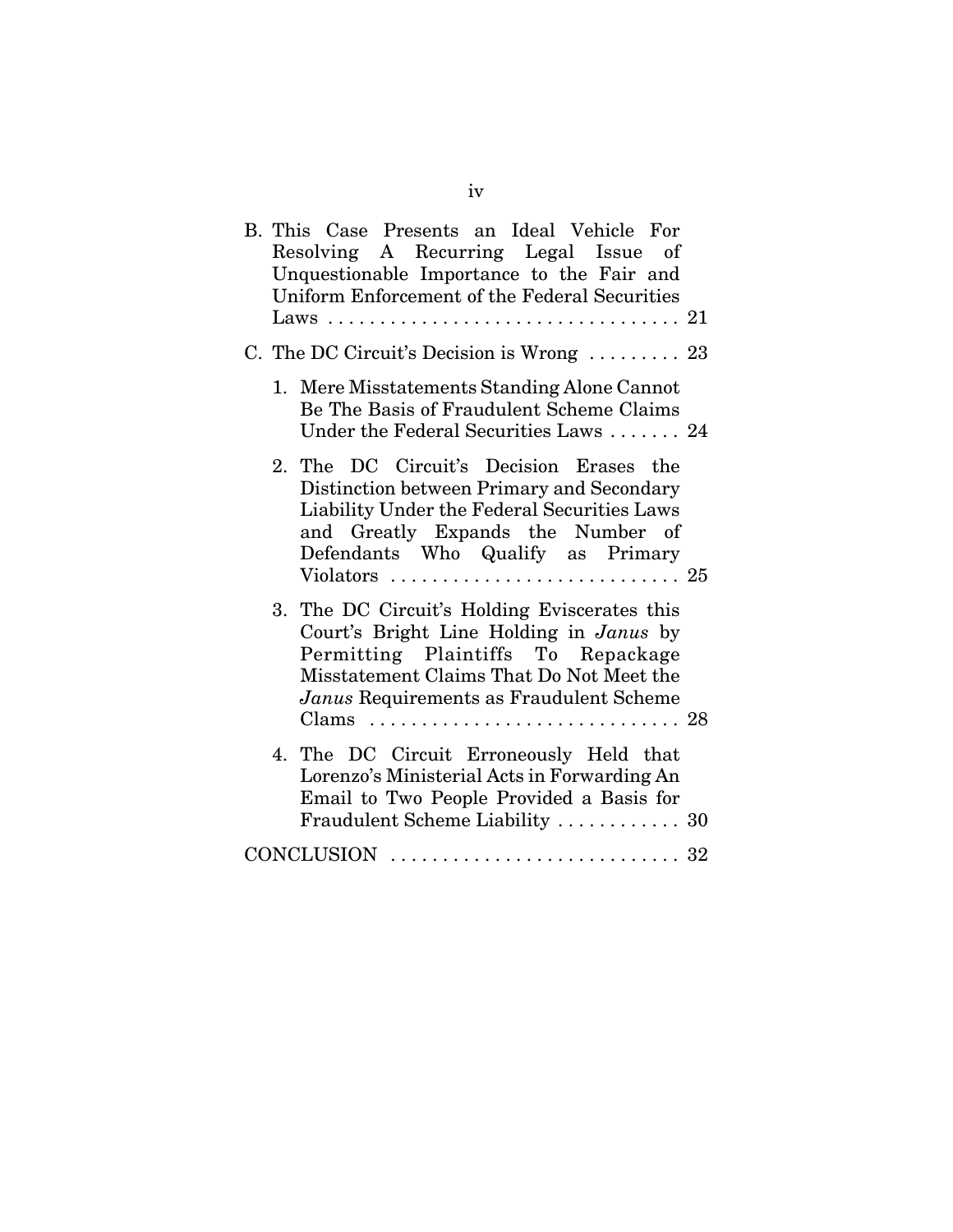|  | B. This Case Presents an Ideal Vehicle For<br>Resolving A Recurring Legal Issue of<br>Unquestionable Importance to the Fair and<br>Uniform Enforcement of the Federal Securities                                                  |  |
|--|-----------------------------------------------------------------------------------------------------------------------------------------------------------------------------------------------------------------------------------|--|
|  | C. The DC Circuit's Decision is Wrong  23                                                                                                                                                                                         |  |
|  | 1. Mere Misstatements Standing Alone Cannot<br>Be The Basis of Fraudulent Scheme Claims<br>Under the Federal Securities Laws  24                                                                                                  |  |
|  | 2. The DC Circuit's Decision Erases the<br>Distinction between Primary and Secondary<br>Liability Under the Federal Securities Laws<br>and Greatly Expands the Number of<br>Defendants Who Qualify as Primary                     |  |
|  | 3. The DC Circuit's Holding Eviscerates this<br>Court's Bright Line Holding in Janus by<br>Permitting Plaintiffs To Repackage<br>Misstatement Claims That Do Not Meet the<br>Janus Requirements as Fraudulent Scheme<br>Clams  28 |  |
|  | 4. The DC Circuit Erroneously Held that<br>Lorenzo's Ministerial Acts in Forwarding An<br>Email to Two People Provided a Basis for<br>Fraudulent Scheme Liability  30                                                             |  |
|  |                                                                                                                                                                                                                                   |  |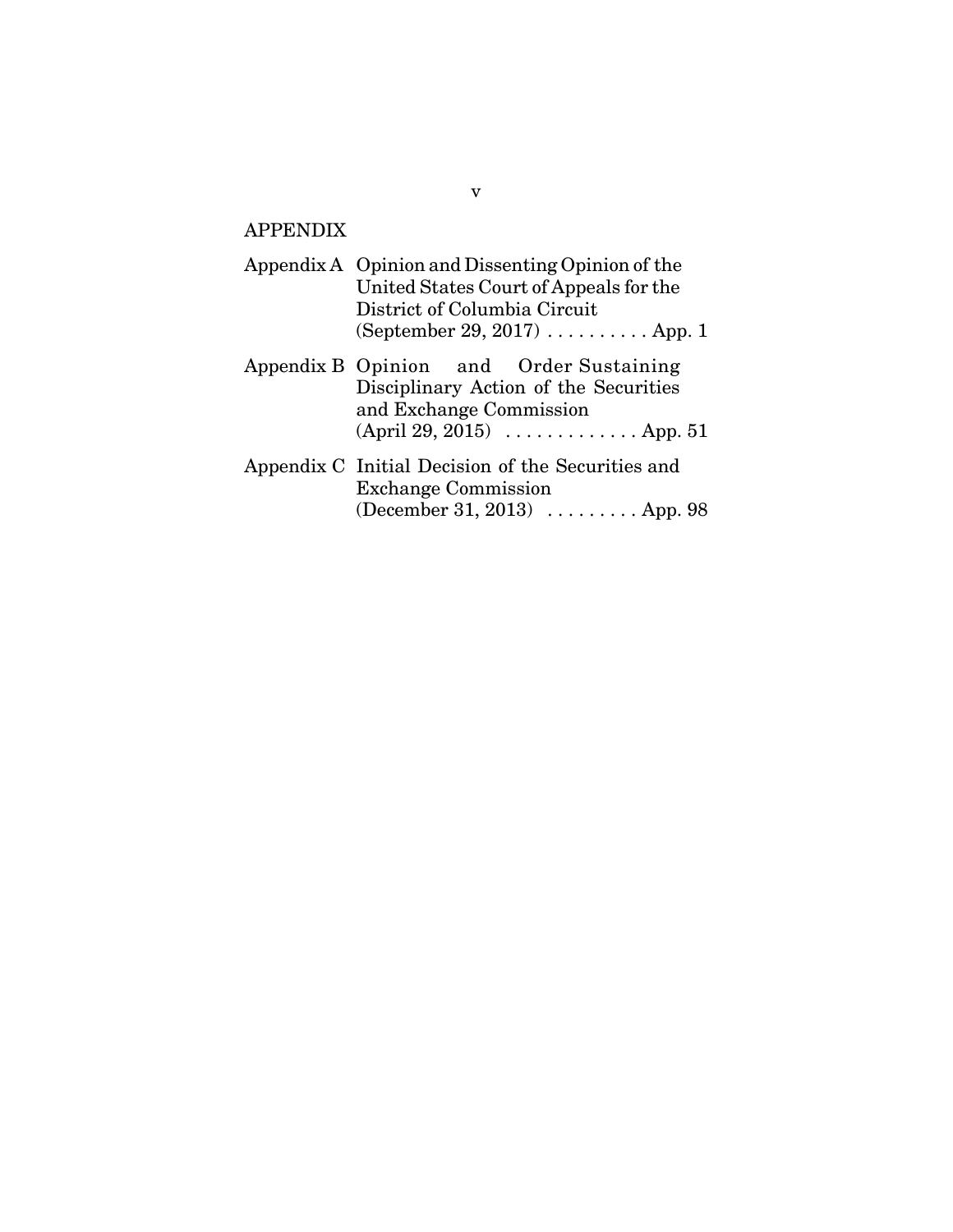# APPENDIX

| Appendix A Opinion and Dissenting Opinion of the<br>United States Court of Appeals for the<br>District of Columbia Circuit<br>(September 29, 2017) $\dots \dots \dots$ . App. 1 |  |  |  |  |
|---------------------------------------------------------------------------------------------------------------------------------------------------------------------------------|--|--|--|--|
| Appendix B Opinion and Order Sustaining<br>Disciplinary Action of the Securities<br>and Exchange Commission<br>(April 29, 2015) $\ldots \ldots \ldots \ldots$ App. 51           |  |  |  |  |
| Appendix C Initial Decision of the Securities and<br><b>Exchange Commission</b><br>(December 31, 2013) $\ldots \ldots \ldots$ App. 98                                           |  |  |  |  |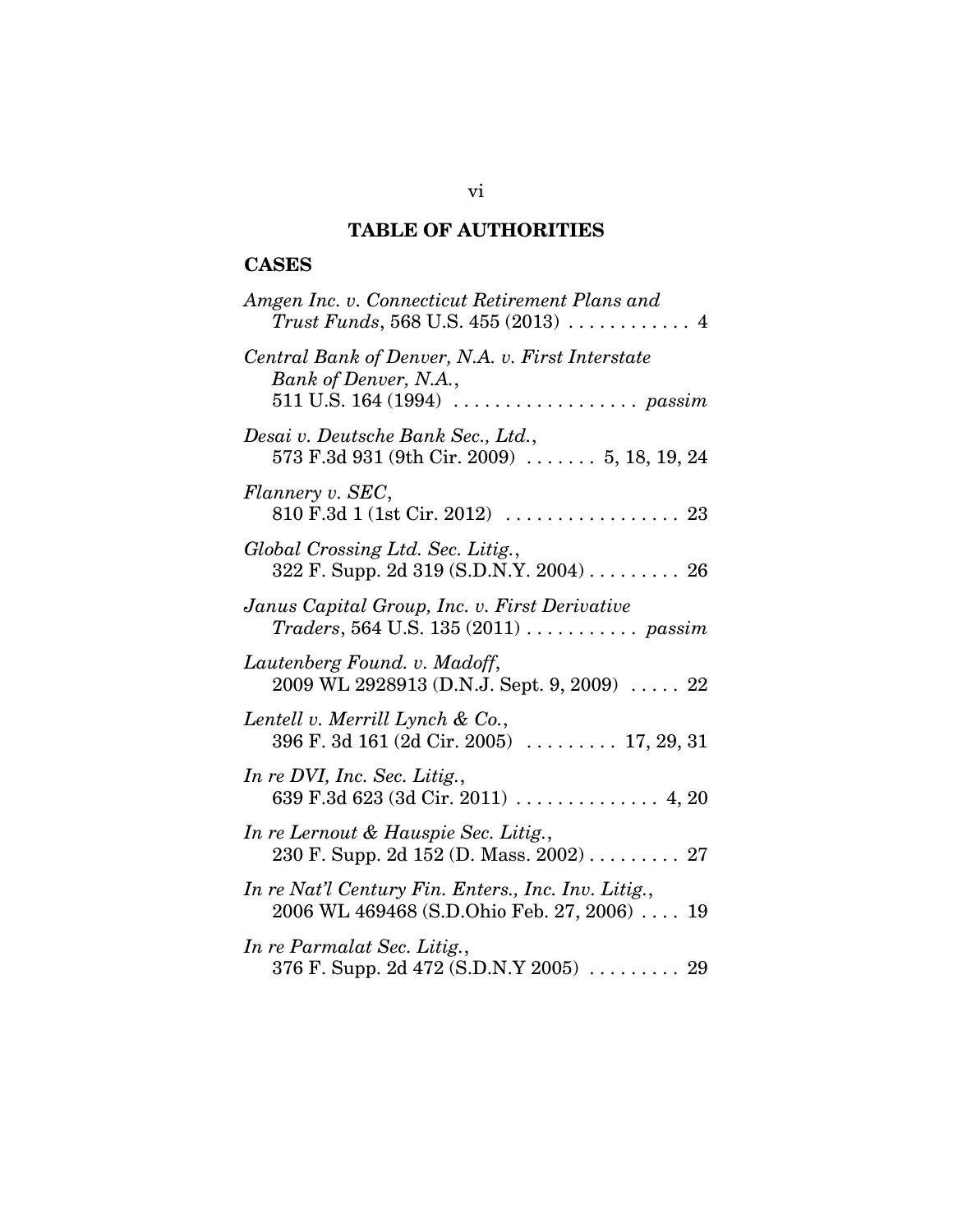# **TABLE OF AUTHORITIES**

# **CASES**

| Amgen Inc. v. Connecticut Retirement Plans and                                                                                               |
|----------------------------------------------------------------------------------------------------------------------------------------------|
| Central Bank of Denver, N.A. v. First Interstate<br>Bank of Denver, N.A.,<br>511 U.S. 164 (1994) $\ldots \ldots \ldots \ldots \ldots$ passim |
| Desai v. Deutsche Bank Sec., Ltd.,<br>573 F.3d 931 (9th Cir. 2009)  5, 18, 19, 24                                                            |
| Flannery v. SEC,                                                                                                                             |
| Global Crossing Ltd. Sec. Litig.,<br>322 F. Supp. 2d 319 (S.D.N.Y. 2004) 26                                                                  |
| Janus Capital Group, Inc. v. First Derivative<br>$T raders$ , 564 U.S. 135 (2011) $\ldots \ldots \ldots$ passim                              |
| Lautenberg Found. v. Madoff,<br>2009 WL 2928913 (D.N.J. Sept. 9, 2009)  22                                                                   |
| Lentell v. Merrill Lynch & Co.,<br>396 F. 3d 161 (2d Cir. 2005) $\ldots$ 17, 29, 31                                                          |
| In re DVI, Inc. Sec. Litig.,                                                                                                                 |
| In re Lernout & Hauspie Sec. Litig.,<br>230 F. Supp. 2d 152 (D. Mass. 2002) 27                                                               |
| In re Nat'l Century Fin. Enters., Inc. Inv. Litig.,<br>2006 WL 469468 (S.D.Ohio Feb. 27, 2006)  19                                           |
| In re Parmalat Sec. Litig.,<br>376 F. Supp. 2d 472 (S.D.N.Y 2005)  29                                                                        |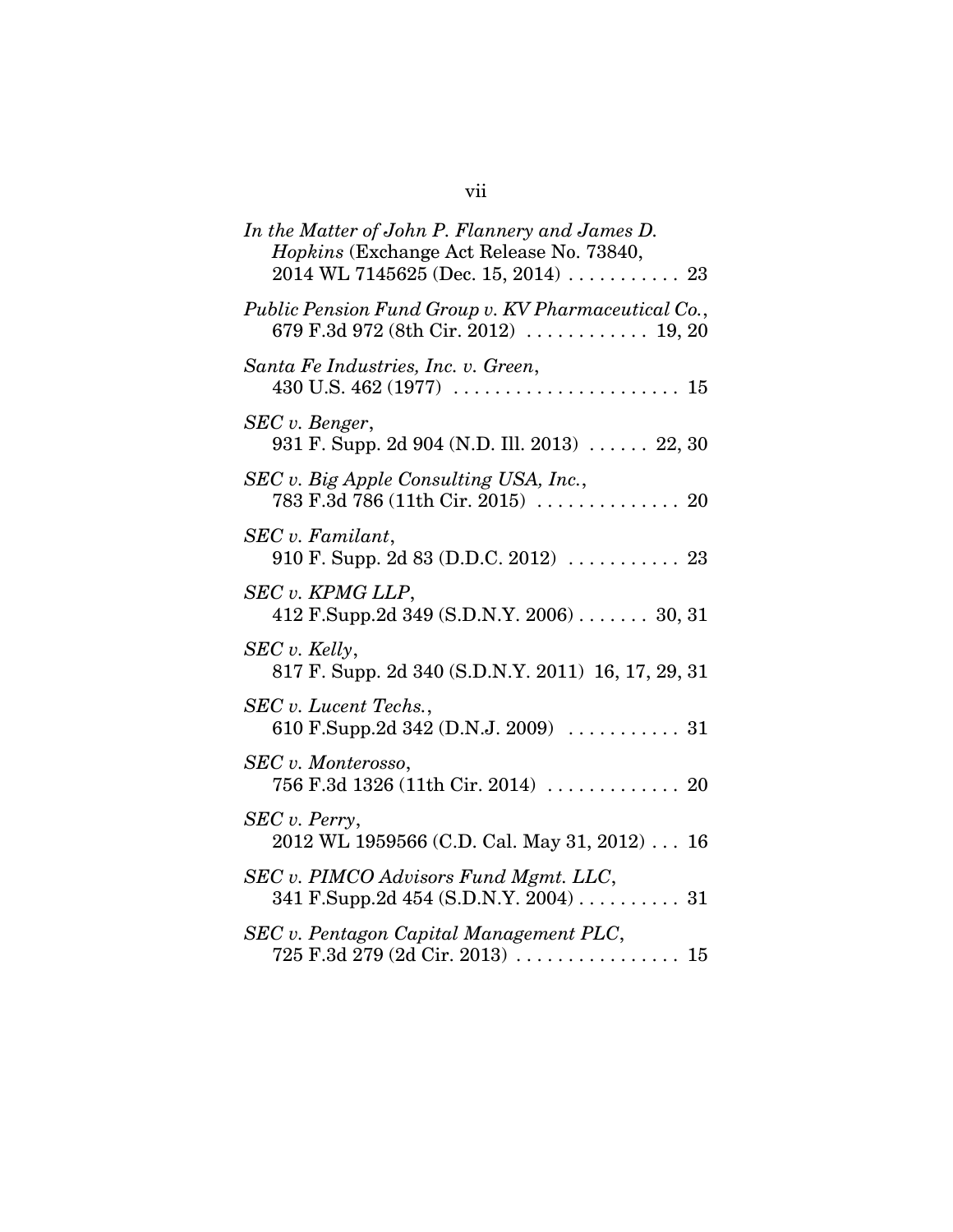| In the Matter of John P. Flannery and James D.<br>Hopkins (Exchange Act Release No. 73840,<br>$2014$ WL 7145625 (Dec. 15, 2014)  23 |
|-------------------------------------------------------------------------------------------------------------------------------------|
| Public Pension Fund Group v. KV Pharmaceutical Co.,<br>679 F.3d 972 (8th Cir. 2012)  19, 20                                         |
| Santa Fe Industries, Inc. v. Green,                                                                                                 |
| SEC v. Benger,<br>931 F. Supp. 2d 904 (N.D. Ill. 2013)  22, 30                                                                      |
| SEC v. Big Apple Consulting USA, Inc.,<br>783 F.3d 786 (11th Cir. 2015)  20                                                         |
| SEC v. Familant,<br>910 F. Supp. 2d 83 (D.D.C. 2012)  23                                                                            |
| SEC v. KPMG LLP,<br>412 F.Supp.2d 349 (S.D.N.Y. 2006) 30, 31                                                                        |
| SEC v. Kelly,<br>817 F. Supp. 2d 340 (S.D.N.Y. 2011) 16, 17, 29, 31                                                                 |
| SEC v. Lucent Techs.,                                                                                                               |
| SEC v. Monterosso,<br>756 F.3d 1326 (11th Cir. 2014) $\ldots \ldots \ldots \ldots$ 20                                               |
| SEC v. Perry,<br>2012 WL 1959566 (C.D. Cal. May 31, 2012) 16                                                                        |
| SEC v. PIMCO Advisors Fund Mgmt. LLC,<br>341 F.Supp.2d 454 (S.D.N.Y. $2004$ ) 31                                                    |
| SEC v. Pentagon Capital Management PLC,                                                                                             |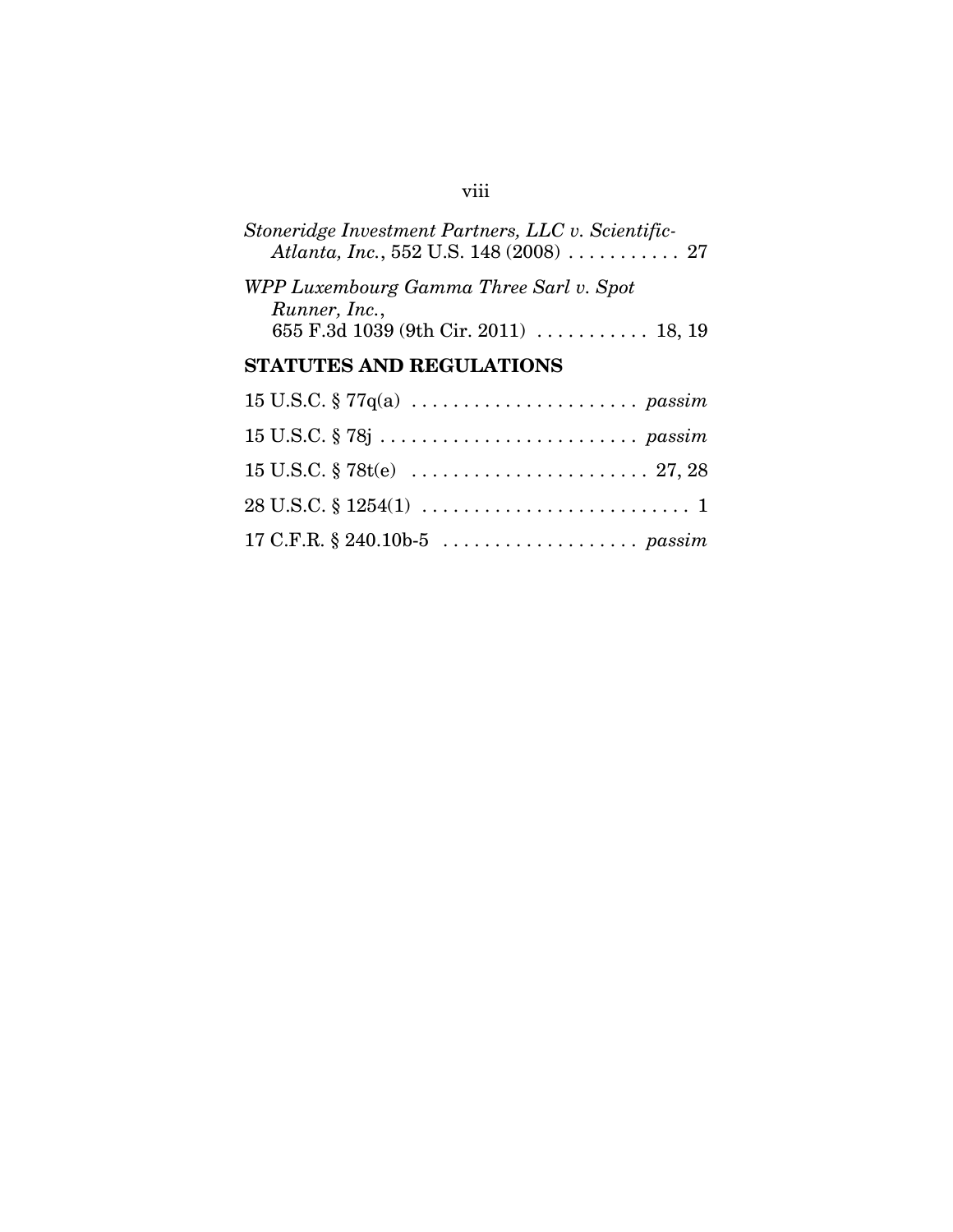|  | Stoneridge Investment Partners, LLC v. Scientific-           |  |  |
|--|--------------------------------------------------------------|--|--|
|  | Atlanta, Inc., 552 U.S. 148 (2008) $\ldots \ldots \ldots$ 27 |  |  |

| WPP Luxembourg Gamma Three Sarl v. Spot |  |
|-----------------------------------------|--|
| Runner, Inc.,                           |  |
| 655 F.3d 1039 (9th Cir. 2011)  18, 19   |  |

# **STATUTES AND REGULATIONS**

# viii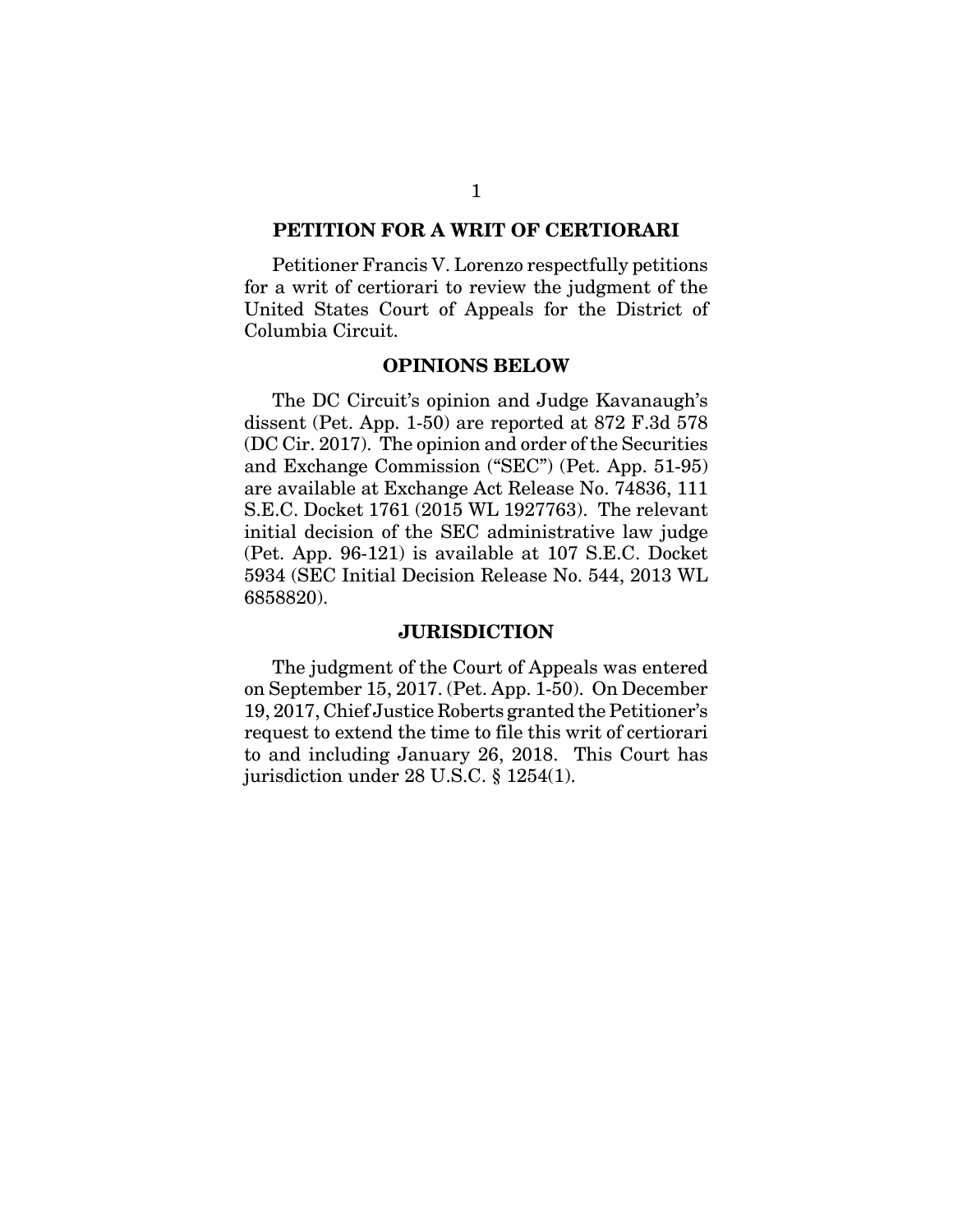#### **PETITION FOR A WRIT OF CERTIORARI**

Petitioner Francis V. Lorenzo respectfully petitions for a writ of certiorari to review the judgment of the United States Court of Appeals for the District of Columbia Circuit.

#### **OPINIONS BELOW**

The DC Circuit's opinion and Judge Kavanaugh's dissent (Pet. App. 1-50) are reported at 872 F.3d 578 (DC Cir. 2017). The opinion and order of the Securities and Exchange Commission ("SEC") (Pet. App. 51-95) are available at Exchange Act Release No. 74836, 111 S.E.C. Docket 1761 (2015 WL 1927763). The relevant initial decision of the SEC administrative law judge (Pet. App. 96-121) is available at 107 S.E.C. Docket 5934 (SEC Initial Decision Release No. 544, 2013 WL 6858820).

#### **JURISDICTION**

The judgment of the Court of Appeals was entered on September 15, 2017. (Pet. App. 1-50). On December 19, 2017, Chief Justice Roberts granted the Petitioner's request to extend the time to file this writ of certiorari to and including January 26, 2018. This Court has jurisdiction under 28 U.S.C. § 1254(1).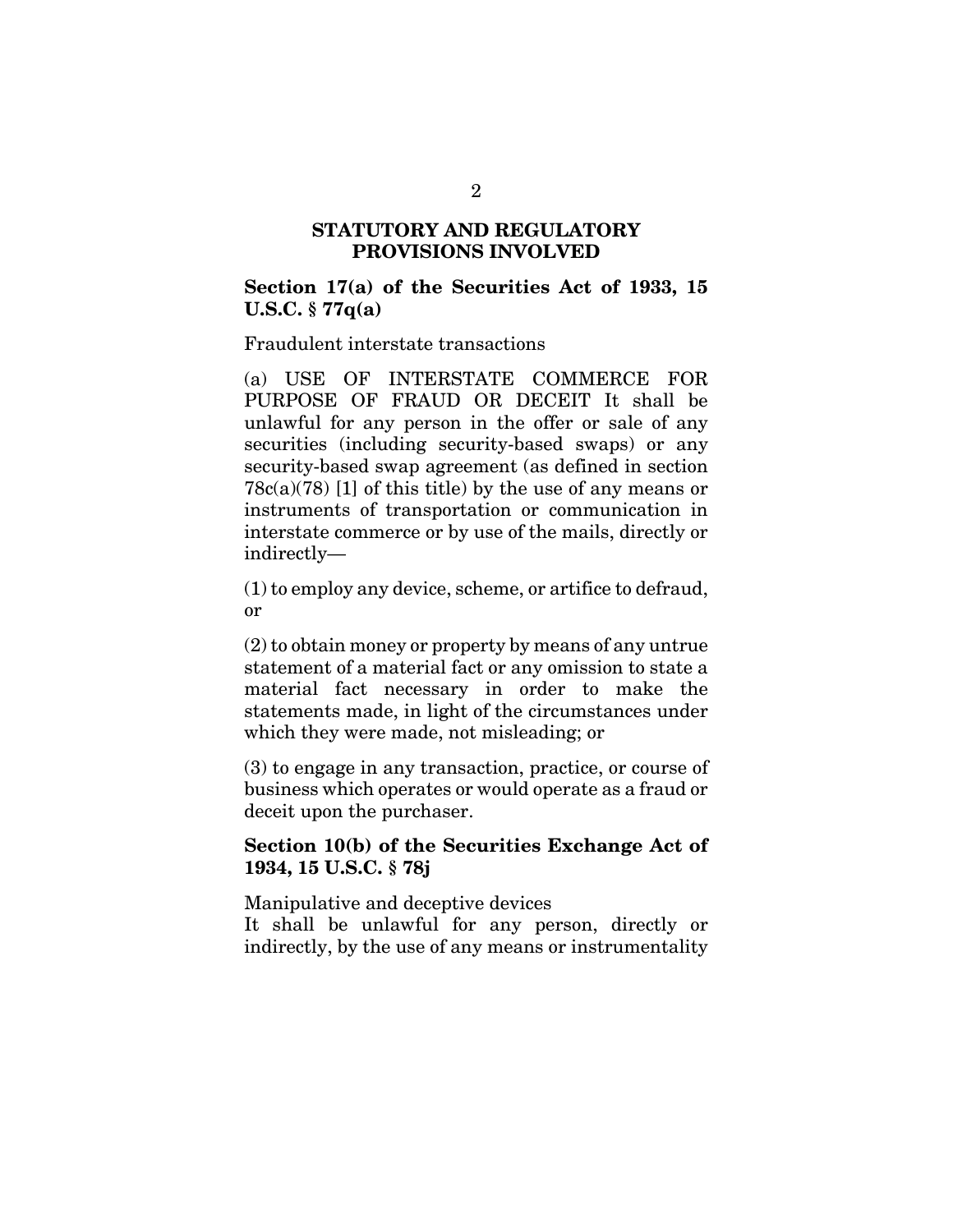### **STATUTORY AND REGULATORY PROVISIONS INVOLVED**

**Section 17(a) of the Securities Act of 1933, 15 U.S.C. § 77q(a)**

Fraudulent interstate transactions

(a) USE OF INTERSTATE COMMERCE FOR PURPOSE OF FRAUD OR DECEIT It shall be unlawful for any person in the offer or sale of any securities (including security-based swaps) or any security-based swap agreement (as defined in section  $78c(a)(78)$  [1] of this title) by the use of any means or instruments of transportation or communication in interstate commerce or by use of the mails, directly or indirectly—

(1) to employ any device, scheme, or artifice to defraud, or

(2) to obtain money or property by means of any untrue statement of a material fact or any omission to state a material fact necessary in order to make the statements made, in light of the circumstances under which they were made, not misleading; or

(3) to engage in any transaction, practice, or course of business which operates or would operate as a fraud or deceit upon the purchaser.

### **Section 10(b) of the Securities Exchange Act of 1934, 15 U.S.C. § 78j**

Manipulative and deceptive devices

It shall be unlawful for any person, directly or indirectly, by the use of any means or instrumentality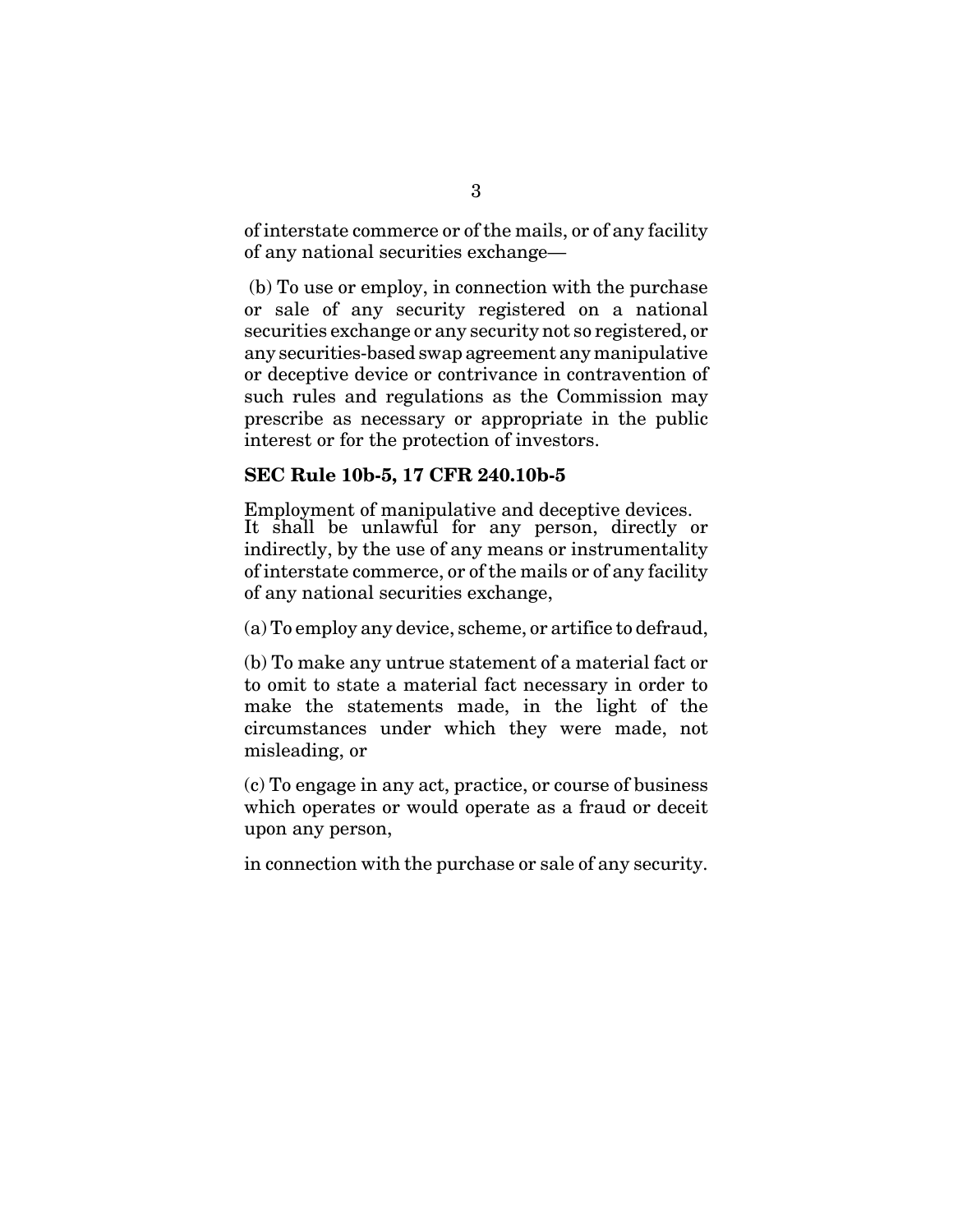of interstate commerce or of the mails, or of any facility of any national securities exchange—

 (b) To use or employ, in connection with the purchase or sale of any security registered on a national securities exchange or any security not so registered, or any securities-based swap agreement any manipulative or deceptive device or contrivance in contravention of such rules and regulations as the Commission may prescribe as necessary or appropriate in the public interest or for the protection of investors.

### **SEC Rule 10b-5, 17 CFR 240.10b-5**

Employment of manipulative and deceptive devices. It shall be unlawful for any person, directly or indirectly, by the use of any means or instrumentality of interstate commerce, or of the mails or of any facility of any national securities exchange,

(a) To employ any device, scheme, or artifice to defraud,

(b) To make any untrue statement of a material fact or to omit to state a material fact necessary in order to make the statements made, in the light of the circumstances under which they were made, not misleading, or

(c) To engage in any act, practice, or course of business which operates or would operate as a fraud or deceit upon any person,

in connection with the purchase or sale of any security.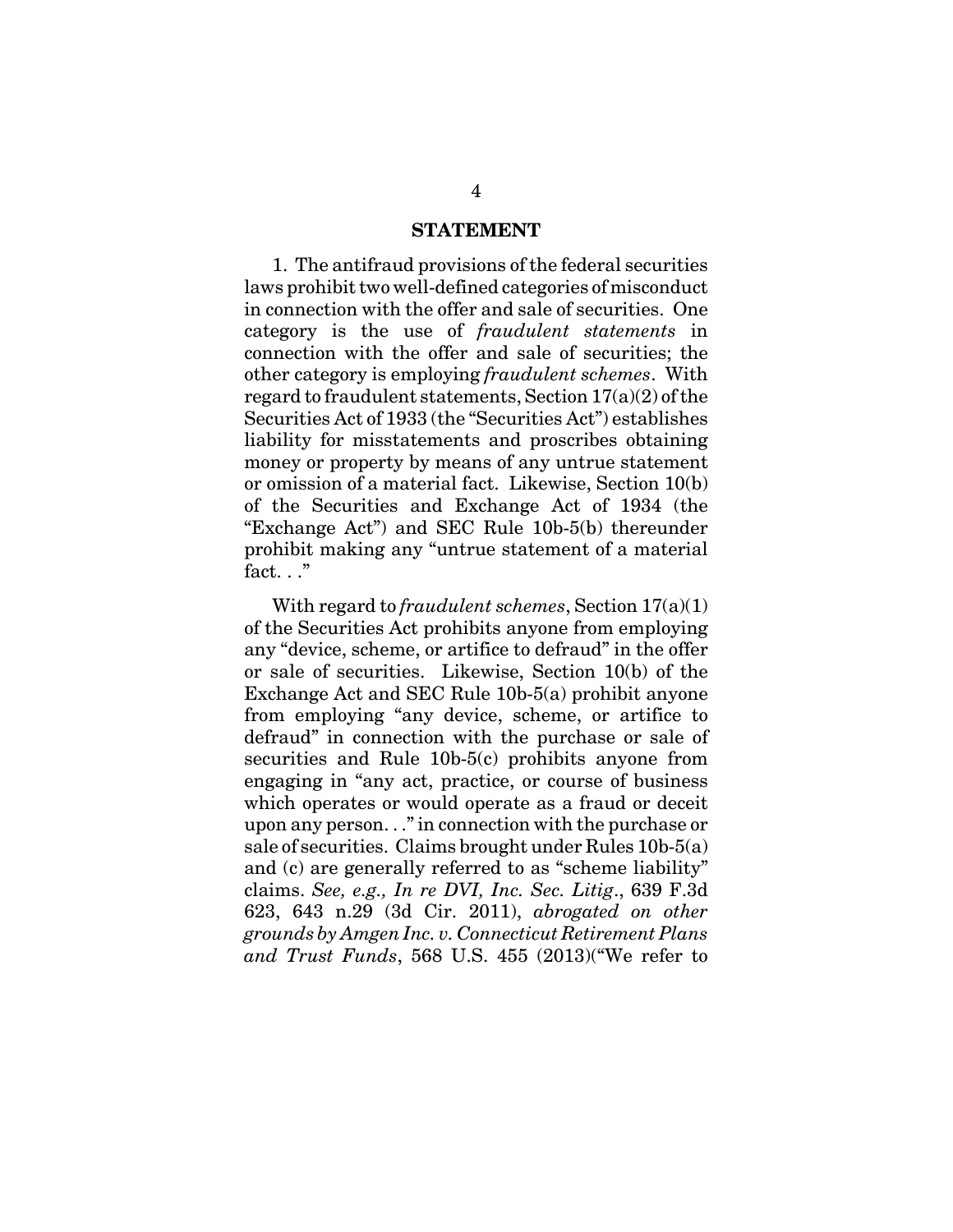#### **STATEMENT**

1. The antifraud provisions of the federal securities laws prohibit two well-defined categories of misconduct in connection with the offer and sale of securities. One category is the use of *fraudulent statements* in connection with the offer and sale of securities; the other category is employing *fraudulent schemes*. With regard to fraudulent statements, Section 17(a)(2) of the Securities Act of 1933 (the "Securities Act") establishes liability for misstatements and proscribes obtaining money or property by means of any untrue statement or omission of a material fact. Likewise, Section 10(b) of the Securities and Exchange Act of 1934 (the "Exchange Act") and SEC Rule 10b-5(b) thereunder prohibit making any "untrue statement of a material fact. . ."

With regard to *fraudulent schemes*, Section 17(a)(1) of the Securities Act prohibits anyone from employing any "device, scheme, or artifice to defraud" in the offer or sale of securities. Likewise, Section 10(b) of the Exchange Act and SEC Rule 10b-5(a) prohibit anyone from employing "any device, scheme, or artifice to defraud" in connection with the purchase or sale of securities and Rule 10b-5(c) prohibits anyone from engaging in "any act, practice, or course of business which operates or would operate as a fraud or deceit upon any person. . ." in connection with the purchase or sale of securities. Claims brought under Rules 10b-5(a) and (c) are generally referred to as "scheme liability" claims. *See, e.g., In re DVI, Inc. Sec. Litig*., 639 F.3d 623, 643 n.29 (3d Cir. 2011), *abrogated on other grounds by Amgen Inc. v. Connecticut Retirement Plans and Trust Funds*, 568 U.S. 455 (2013)("We refer to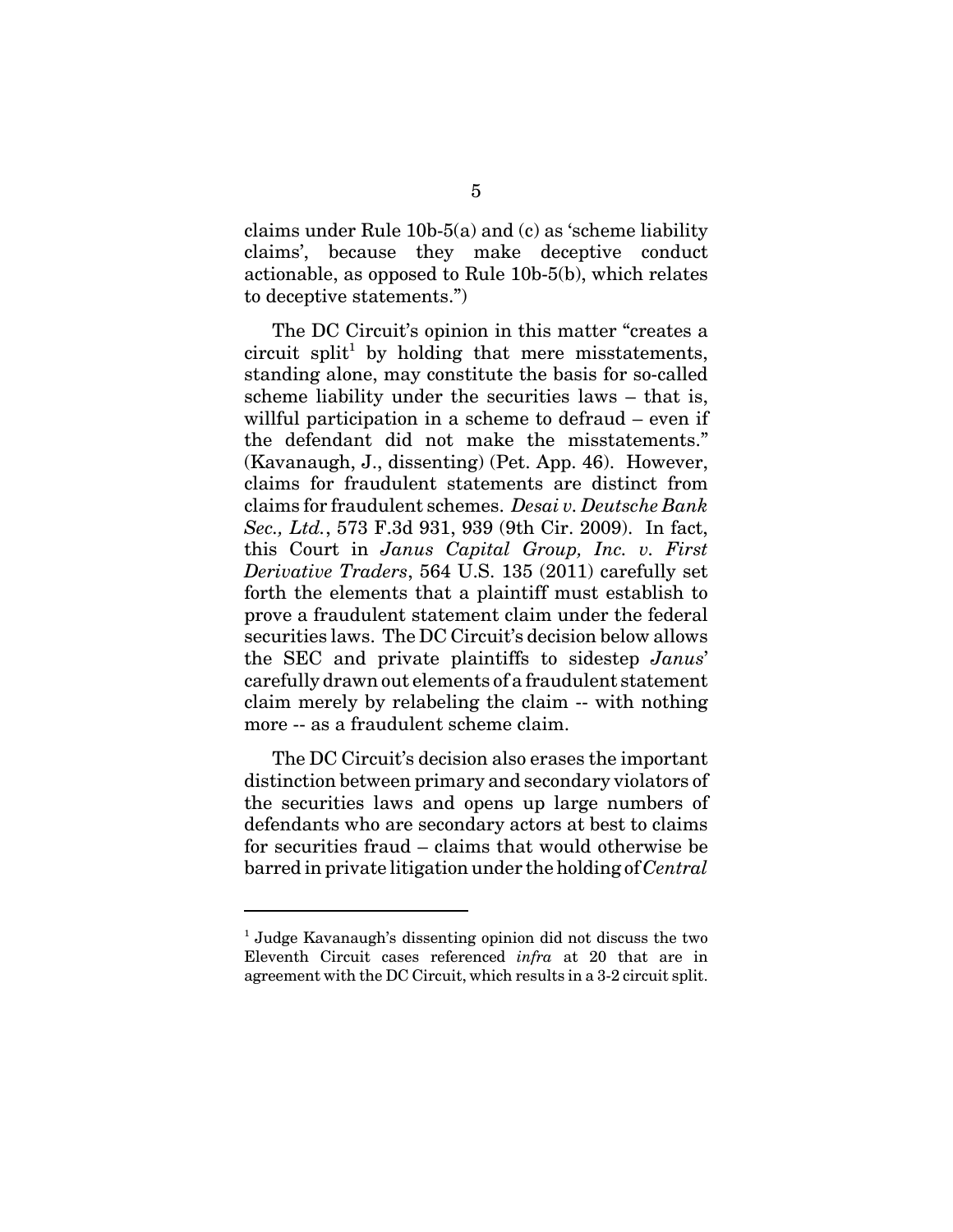claims under Rule 10b-5(a) and (c) as 'scheme liability claims', because they make deceptive conduct actionable, as opposed to Rule 10b-5(b), which relates to deceptive statements.")

The DC Circuit's opinion in this matter "creates a circuit split<sup>1</sup> by holding that mere misstatements, standing alone, may constitute the basis for so-called scheme liability under the securities laws – that is, willful participation in a scheme to defraud – even if the defendant did not make the misstatements." (Kavanaugh, J., dissenting) (Pet. App. 46). However, claims for fraudulent statements are distinct from claims for fraudulent schemes. *Desai v. Deutsche Bank Sec., Ltd.*, 573 F.3d 931, 939 (9th Cir. 2009). In fact, this Court in *Janus Capital Group, Inc. v. First Derivative Traders*, 564 U.S. 135 (2011) carefully set forth the elements that a plaintiff must establish to prove a fraudulent statement claim under the federal securities laws. The DC Circuit's decision below allows the SEC and private plaintiffs to sidestep *Janus*' carefully drawn out elements of a fraudulent statement claim merely by relabeling the claim -- with nothing more -- as a fraudulent scheme claim.

The DC Circuit's decision also erases the important distinction between primary and secondary violators of the securities laws and opens up large numbers of defendants who are secondary actors at best to claims for securities fraud – claims that would otherwise be barred in private litigation under the holding of *Central*

<sup>&</sup>lt;sup>1</sup> Judge Kavanaugh's dissenting opinion did not discuss the two Eleventh Circuit cases referenced *infra* at 20 that are in agreement with the DC Circuit, which results in a 3-2 circuit split.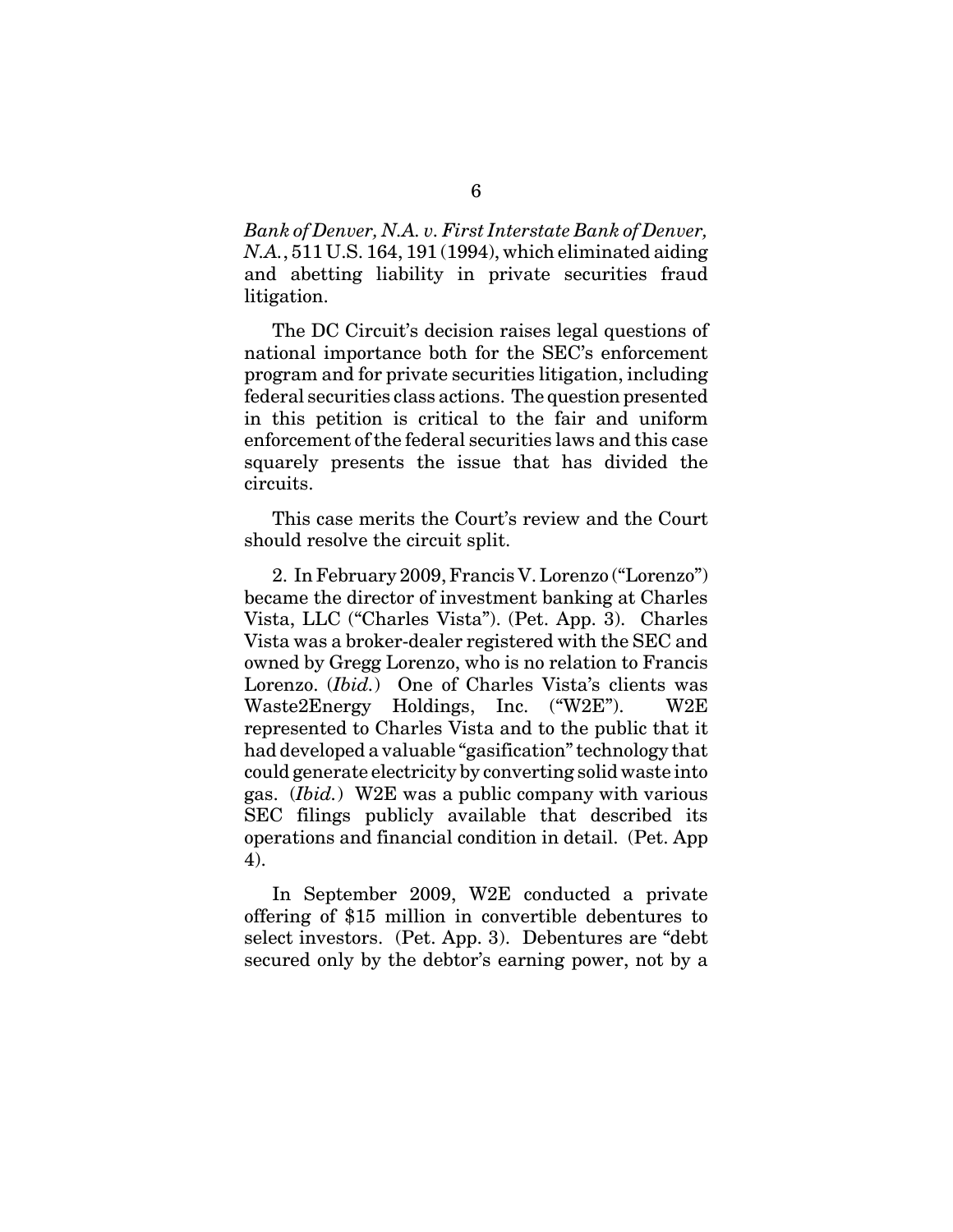*Bank of Denver, N.A. v. First Interstate Bank of Denver, N.A.*, 511 U.S. 164, 191 (1994), which eliminated aiding and abetting liability in private securities fraud litigation.

The DC Circuit's decision raises legal questions of national importance both for the SEC's enforcement program and for private securities litigation, including federal securities class actions. The question presented in this petition is critical to the fair and uniform enforcement of the federal securities laws and this case squarely presents the issue that has divided the circuits.

This case merits the Court's review and the Court should resolve the circuit split.

2. In February 2009, Francis V. Lorenzo ("Lorenzo") became the director of investment banking at Charles Vista, LLC ("Charles Vista"). (Pet. App. 3). Charles Vista was a broker-dealer registered with the SEC and owned by Gregg Lorenzo, who is no relation to Francis Lorenzo. (*Ibid.*) One of Charles Vista's clients was Waste2Energy Holdings, Inc. ("W2E"). W2E represented to Charles Vista and to the public that it had developed a valuable "gasification" technology that could generate electricity by converting solid waste into gas. (*Ibid.*) W2E was a public company with various SEC filings publicly available that described its operations and financial condition in detail. (Pet. App 4).

In September 2009, W2E conducted a private offering of \$15 million in convertible debentures to select investors. (Pet. App. 3). Debentures are "debt secured only by the debtor's earning power, not by a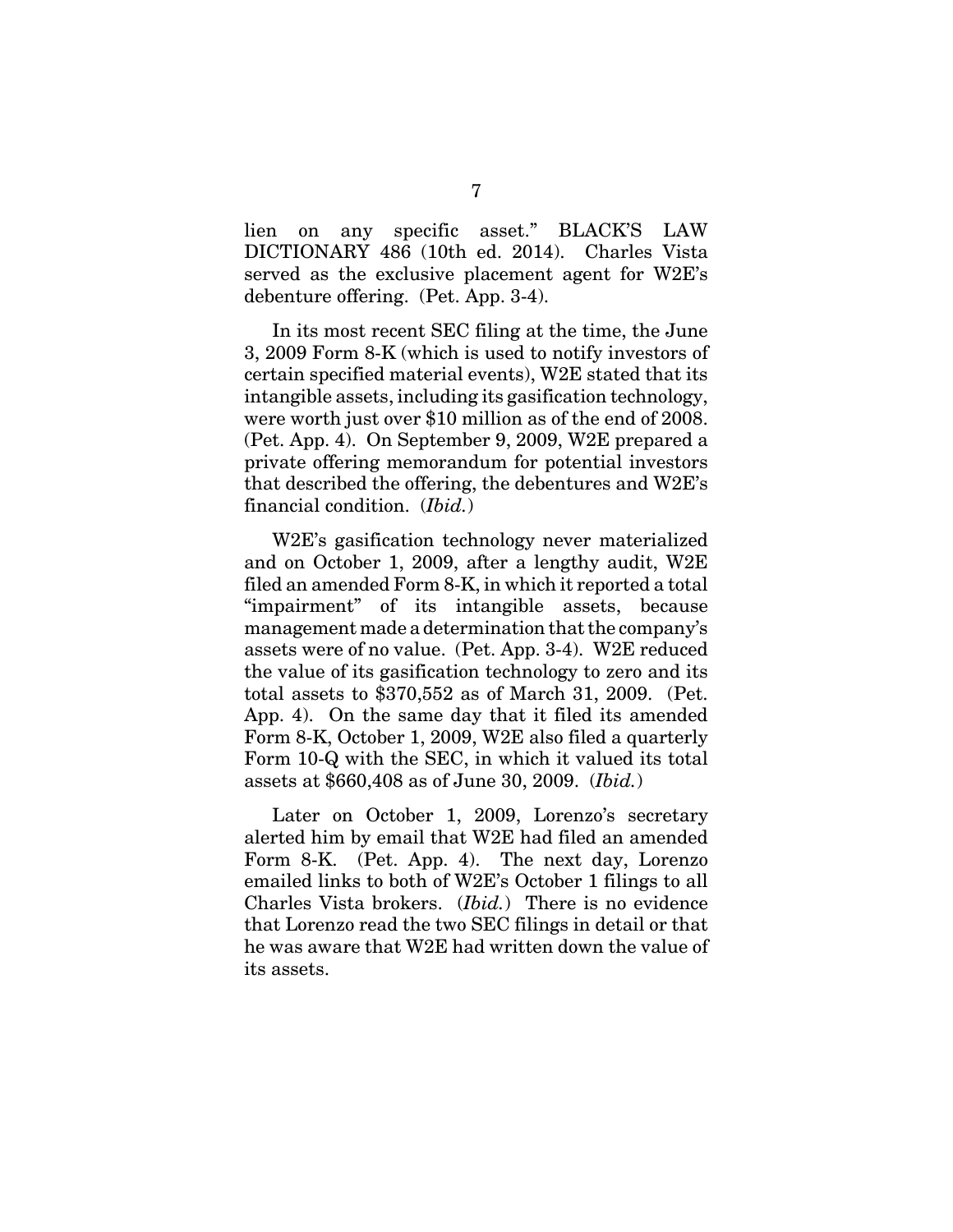lien on any specific asset." BLACK'S LAW DICTIONARY 486 (10th ed. 2014). Charles Vista served as the exclusive placement agent for W2E's debenture offering. (Pet. App. 3-4).

In its most recent SEC filing at the time, the June 3, 2009 Form 8-K (which is used to notify investors of certain specified material events), W2E stated that its intangible assets, including its gasification technology, were worth just over \$10 million as of the end of 2008. (Pet. App. 4). On September 9, 2009, W2E prepared a private offering memorandum for potential investors that described the offering, the debentures and W2E's financial condition. (*Ibid.*)

W2E's gasification technology never materialized and on October 1, 2009, after a lengthy audit, W2E filed an amended Form 8-K, in which it reported a total "impairment" of its intangible assets, because management made a determination that the company's assets were of no value. (Pet. App. 3-4). W2E reduced the value of its gasification technology to zero and its total assets to \$370,552 as of March 31, 2009. (Pet. App. 4). On the same day that it filed its amended Form 8-K, October 1, 2009, W2E also filed a quarterly Form 10-Q with the SEC, in which it valued its total assets at \$660,408 as of June 30, 2009. (*Ibid.*)

Later on October 1, 2009, Lorenzo's secretary alerted him by email that W2E had filed an amended Form 8-K. (Pet. App. 4). The next day, Lorenzo emailed links to both of W2E's October 1 filings to all Charles Vista brokers. (*Ibid.*) There is no evidence that Lorenzo read the two SEC filings in detail or that he was aware that W2E had written down the value of its assets.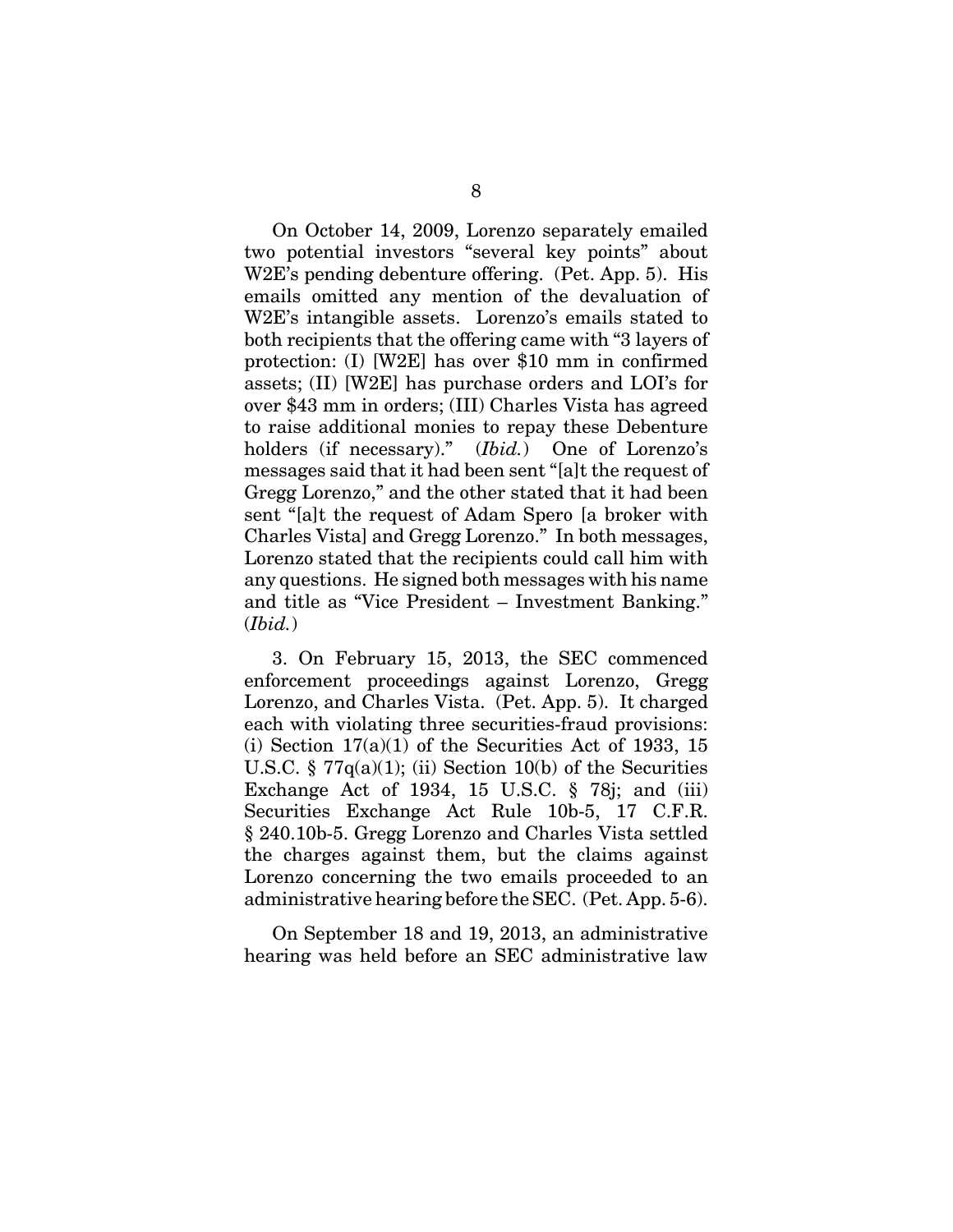On October 14, 2009, Lorenzo separately emailed two potential investors "several key points" about W2E's pending debenture offering. (Pet. App. 5). His emails omitted any mention of the devaluation of W2E's intangible assets. Lorenzo's emails stated to both recipients that the offering came with "3 layers of protection: (I) [W2E] has over \$10 mm in confirmed assets; (II) [W2E] has purchase orders and LOI's for over \$43 mm in orders; (III) Charles Vista has agreed to raise additional monies to repay these Debenture holders (if necessary)." (*Ibid.*) One of Lorenzo's messages said that it had been sent "[a]t the request of Gregg Lorenzo," and the other stated that it had been sent "[a]t the request of Adam Spero [a broker with Charles Vista] and Gregg Lorenzo." In both messages, Lorenzo stated that the recipients could call him with any questions. He signed both messages with his name and title as "Vice President – Investment Banking." (*Ibid.*)

3. On February 15, 2013, the SEC commenced enforcement proceedings against Lorenzo, Gregg Lorenzo, and Charles Vista. (Pet. App. 5). It charged each with violating three securities-fraud provisions: (i) Section  $17(a)(1)$  of the Securities Act of 1933, 15 U.S.C.  $\S 77q(a)(1)$ ; (ii) Section 10(b) of the Securities Exchange Act of 1934, 15 U.S.C. § 78j; and (iii) Securities Exchange Act Rule 10b-5, 17 C.F.R. § 240.10b-5. Gregg Lorenzo and Charles Vista settled the charges against them, but the claims against Lorenzo concerning the two emails proceeded to an administrative hearing before the SEC. (Pet. App. 5-6).

On September 18 and 19, 2013, an administrative hearing was held before an SEC administrative law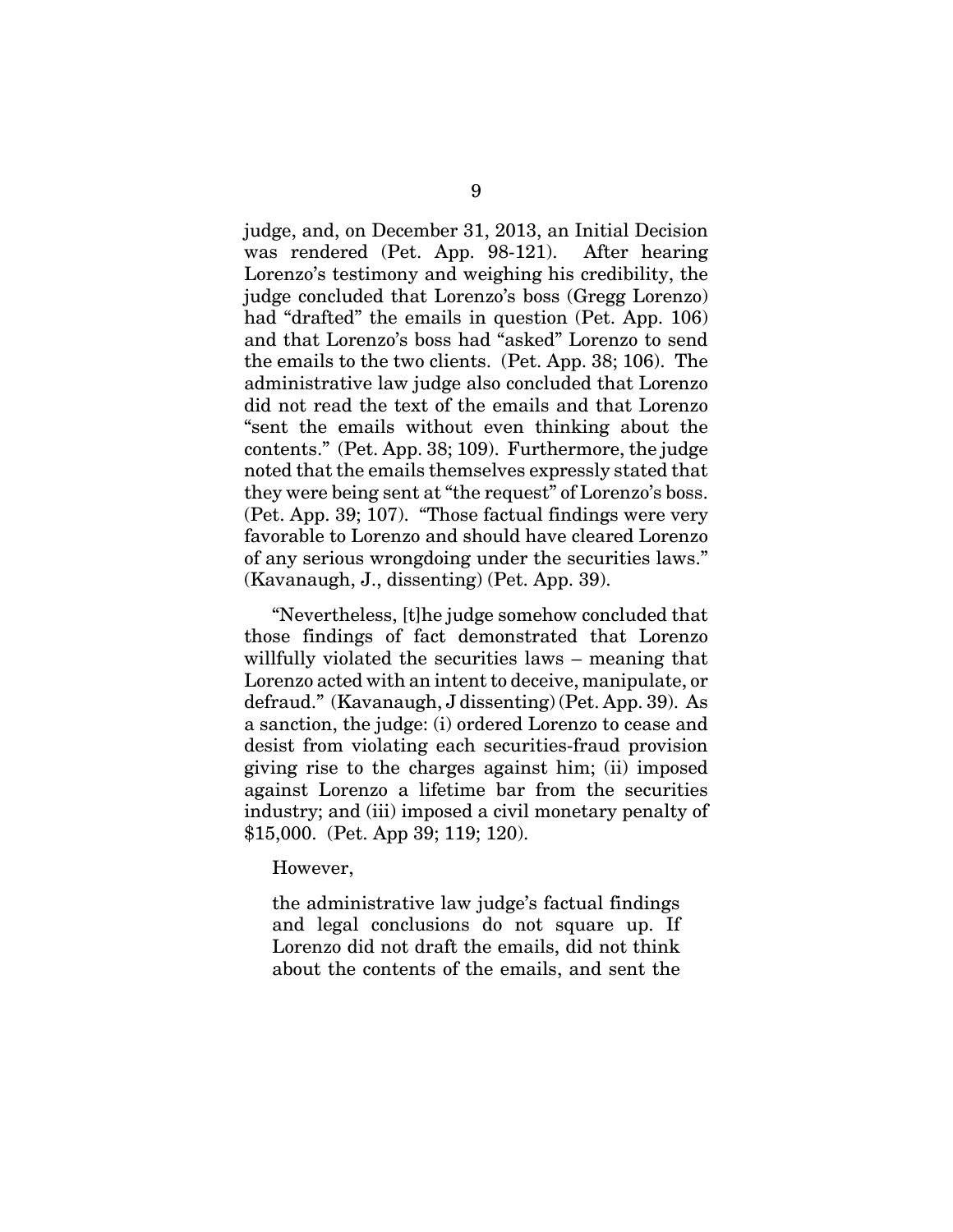judge, and, on December 31, 2013, an Initial Decision was rendered (Pet. App. 98-121). After hearing Lorenzo's testimony and weighing his credibility, the judge concluded that Lorenzo's boss (Gregg Lorenzo) had "drafted" the emails in question (Pet. App. 106) and that Lorenzo's boss had "asked" Lorenzo to send the emails to the two clients. (Pet. App. 38; 106). The administrative law judge also concluded that Lorenzo did not read the text of the emails and that Lorenzo "sent the emails without even thinking about the contents." (Pet. App. 38; 109). Furthermore, the judge noted that the emails themselves expressly stated that they were being sent at "the request" of Lorenzo's boss. (Pet. App. 39; 107). "Those factual findings were very favorable to Lorenzo and should have cleared Lorenzo of any serious wrongdoing under the securities laws." (Kavanaugh, J., dissenting) (Pet. App. 39).

"Nevertheless, [t]he judge somehow concluded that those findings of fact demonstrated that Lorenzo willfully violated the securities laws – meaning that Lorenzo acted with an intent to deceive, manipulate, or defraud." (Kavanaugh, J dissenting) (Pet. App. 39). As a sanction, the judge: (i) ordered Lorenzo to cease and desist from violating each securities-fraud provision giving rise to the charges against him; (ii) imposed against Lorenzo a lifetime bar from the securities industry; and (iii) imposed a civil monetary penalty of \$15,000. (Pet. App 39; 119; 120).

However,

the administrative law judge's factual findings and legal conclusions do not square up. If Lorenzo did not draft the emails, did not think about the contents of the emails, and sent the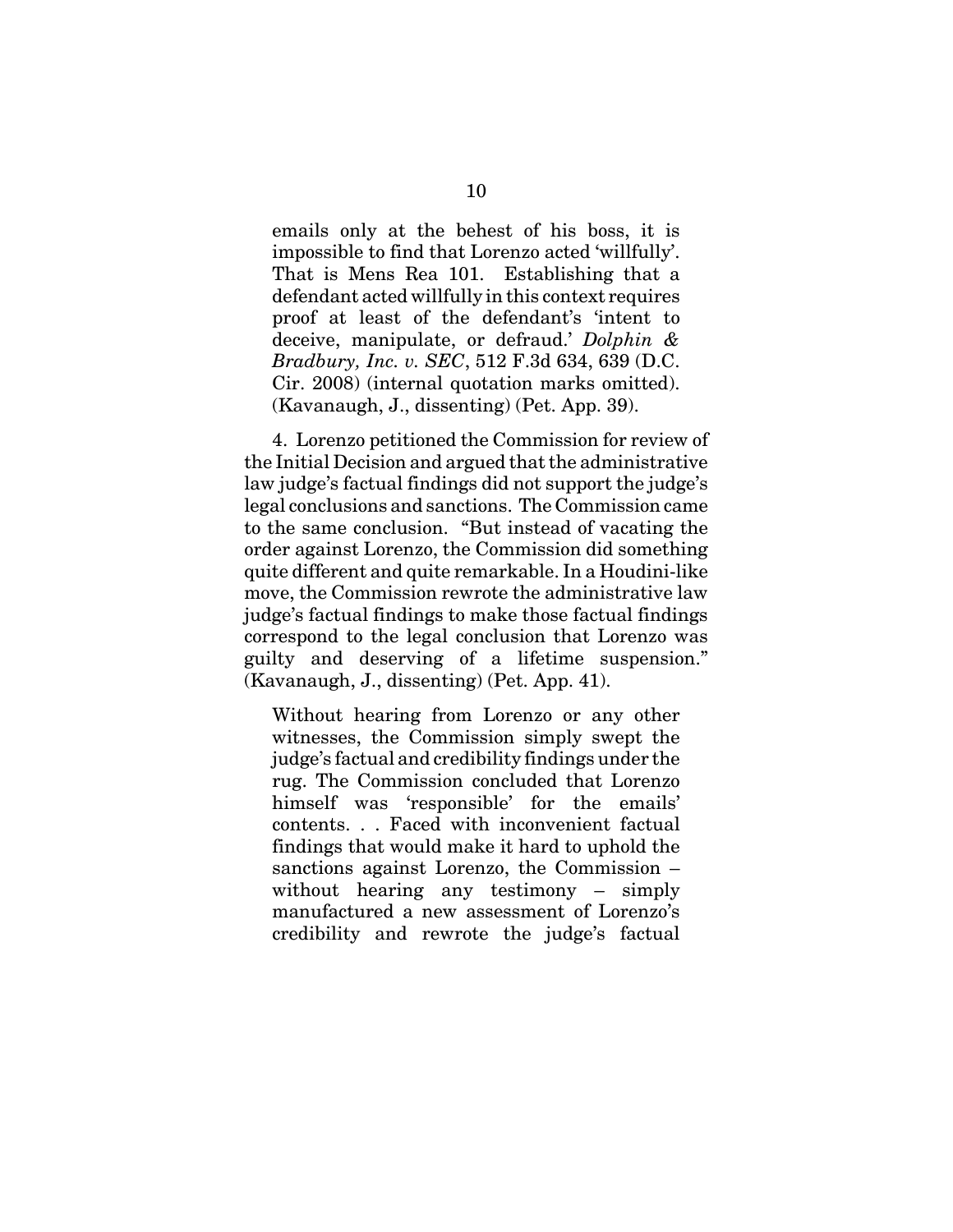emails only at the behest of his boss, it is impossible to find that Lorenzo acted 'willfully'. That is Mens Rea 101. Establishing that a defendant acted willfully in this context requires proof at least of the defendant's 'intent to deceive, manipulate, or defraud.' *Dolphin & Bradbury, Inc. v. SEC*, 512 F.3d 634, 639 (D.C. Cir. 2008) (internal quotation marks omitted). (Kavanaugh, J., dissenting) (Pet. App. 39).

4. Lorenzo petitioned the Commission for review of the Initial Decision and argued that the administrative law judge's factual findings did not support the judge's legal conclusions and sanctions. The Commission came to the same conclusion. "But instead of vacating the order against Lorenzo, the Commission did something quite different and quite remarkable. In a Houdini-like move, the Commission rewrote the administrative law judge's factual findings to make those factual findings correspond to the legal conclusion that Lorenzo was guilty and deserving of a lifetime suspension." (Kavanaugh, J., dissenting) (Pet. App. 41).

Without hearing from Lorenzo or any other witnesses, the Commission simply swept the judge's factual and credibility findings under the rug. The Commission concluded that Lorenzo himself was 'responsible' for the emails' contents. . . Faced with inconvenient factual findings that would make it hard to uphold the sanctions against Lorenzo, the Commission – without hearing any testimony – simply manufactured a new assessment of Lorenzo's credibility and rewrote the judge's factual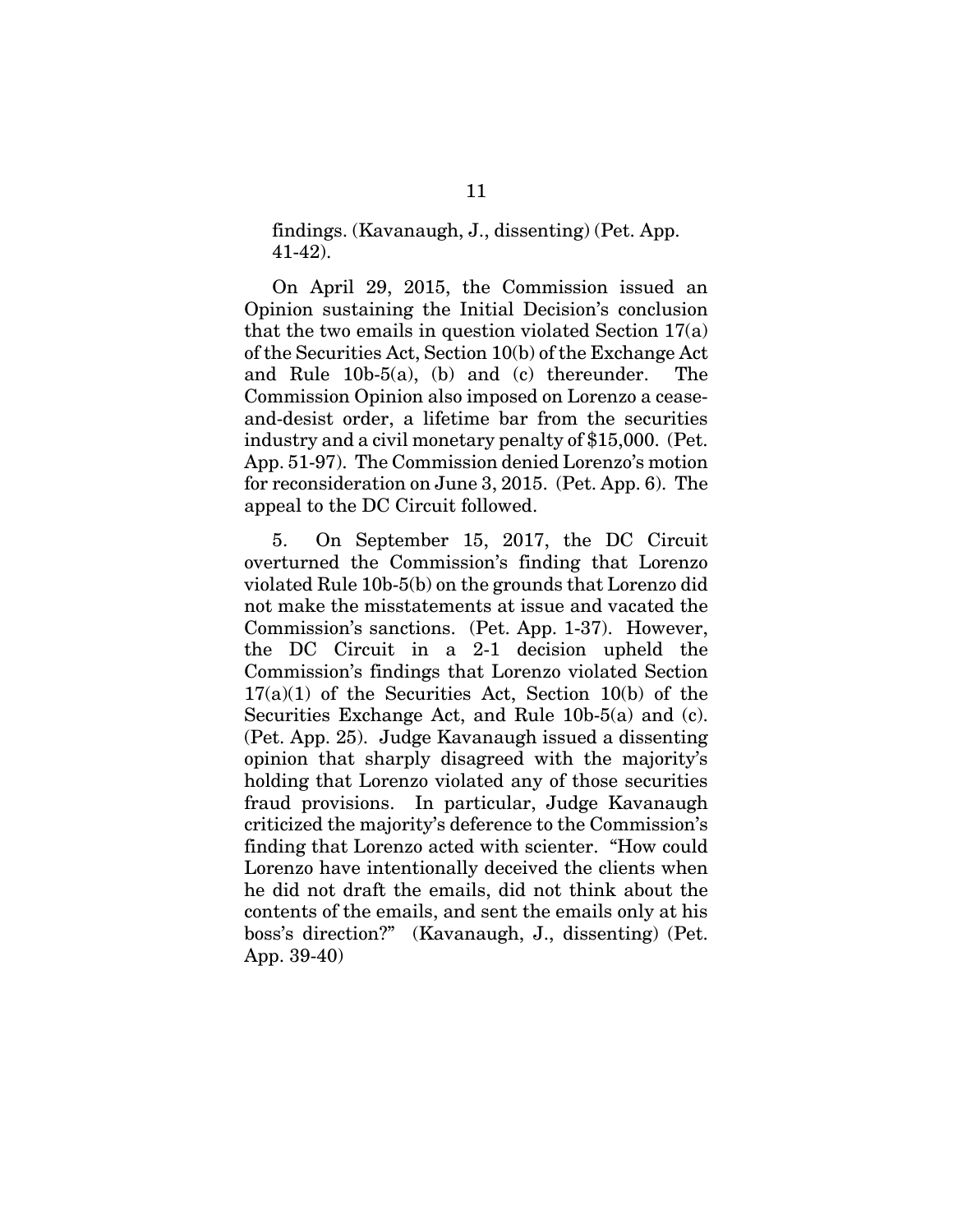findings. (Kavanaugh, J., dissenting) (Pet. App. 41-42).

On April 29, 2015, the Commission issued an Opinion sustaining the Initial Decision's conclusion that the two emails in question violated Section 17(a) of the Securities Act, Section 10(b) of the Exchange Act and Rule 10b-5(a), (b) and (c) thereunder. The Commission Opinion also imposed on Lorenzo a ceaseand-desist order, a lifetime bar from the securities industry and a civil monetary penalty of \$15,000. (Pet. App. 51-97). The Commission denied Lorenzo's motion for reconsideration on June 3, 2015. (Pet. App. 6). The appeal to the DC Circuit followed.

5. On September 15, 2017, the DC Circuit overturned the Commission's finding that Lorenzo violated Rule 10b-5(b) on the grounds that Lorenzo did not make the misstatements at issue and vacated the Commission's sanctions. (Pet. App. 1-37). However, the DC Circuit in a 2-1 decision upheld the Commission's findings that Lorenzo violated Section  $17(a)(1)$  of the Securities Act, Section 10(b) of the Securities Exchange Act, and Rule 10b-5(a) and (c). (Pet. App. 25). Judge Kavanaugh issued a dissenting opinion that sharply disagreed with the majority's holding that Lorenzo violated any of those securities fraud provisions. In particular, Judge Kavanaugh criticized the majority's deference to the Commission's finding that Lorenzo acted with scienter. "How could Lorenzo have intentionally deceived the clients when he did not draft the emails, did not think about the contents of the emails, and sent the emails only at his boss's direction?" (Kavanaugh, J., dissenting) (Pet. App. 39-40)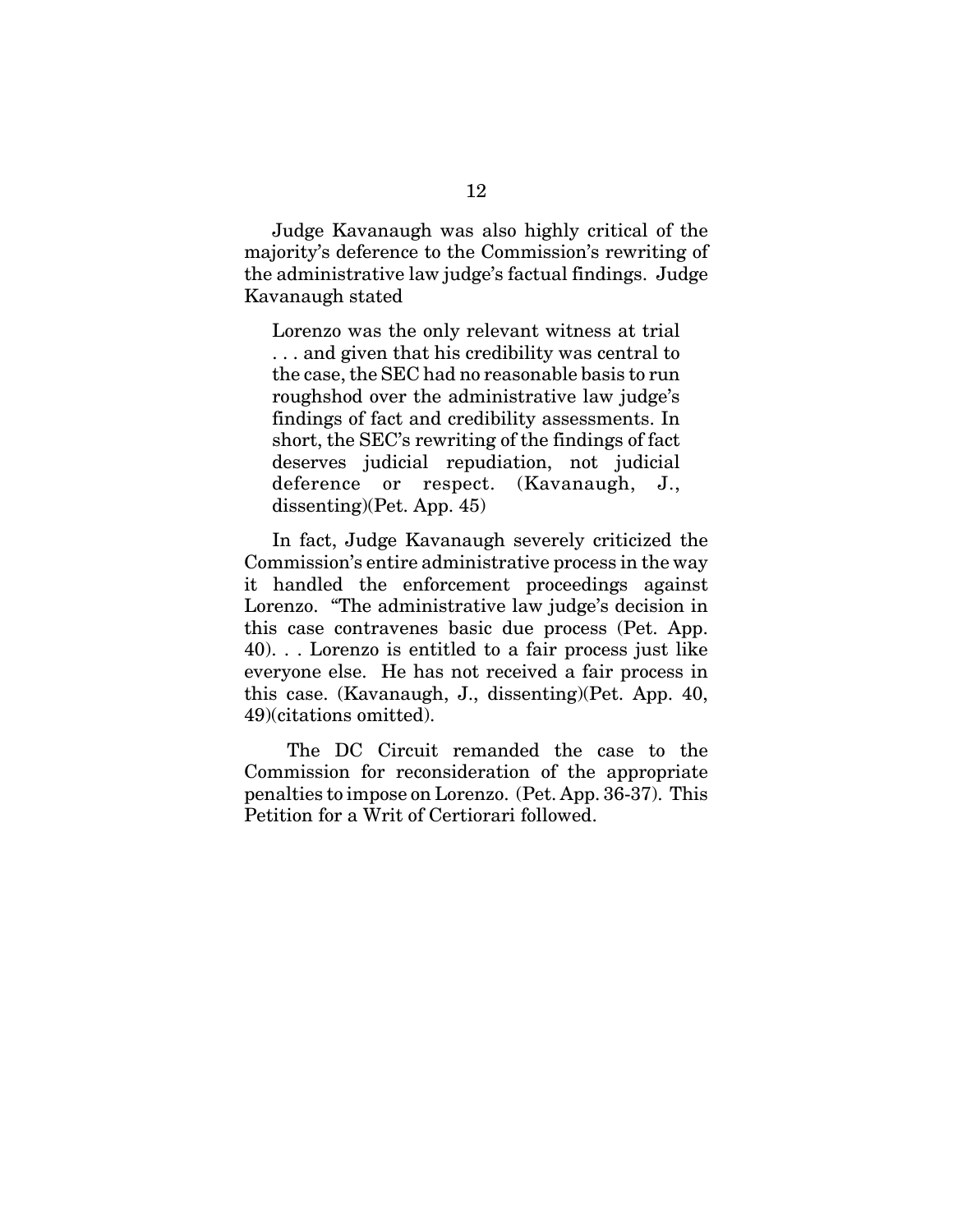Judge Kavanaugh was also highly critical of the majority's deference to the Commission's rewriting of the administrative law judge's factual findings. Judge Kavanaugh stated

Lorenzo was the only relevant witness at trial . . . and given that his credibility was central to the case, the SEC had no reasonable basis to run roughshod over the administrative law judge's findings of fact and credibility assessments. In short, the SEC's rewriting of the findings of fact deserves judicial repudiation, not judicial deference or respect. (Kavanaugh, J., dissenting)(Pet. App. 45)

In fact, Judge Kavanaugh severely criticized the Commission's entire administrative process in the way it handled the enforcement proceedings against Lorenzo. "The administrative law judge's decision in this case contravenes basic due process (Pet. App. 40). . . Lorenzo is entitled to a fair process just like everyone else. He has not received a fair process in this case. (Kavanaugh, J., dissenting)(Pet. App. 40, 49)(citations omitted).

 The DC Circuit remanded the case to the Commission for reconsideration of the appropriate penalties to impose on Lorenzo. (Pet. App. 36-37). This Petition for a Writ of Certiorari followed.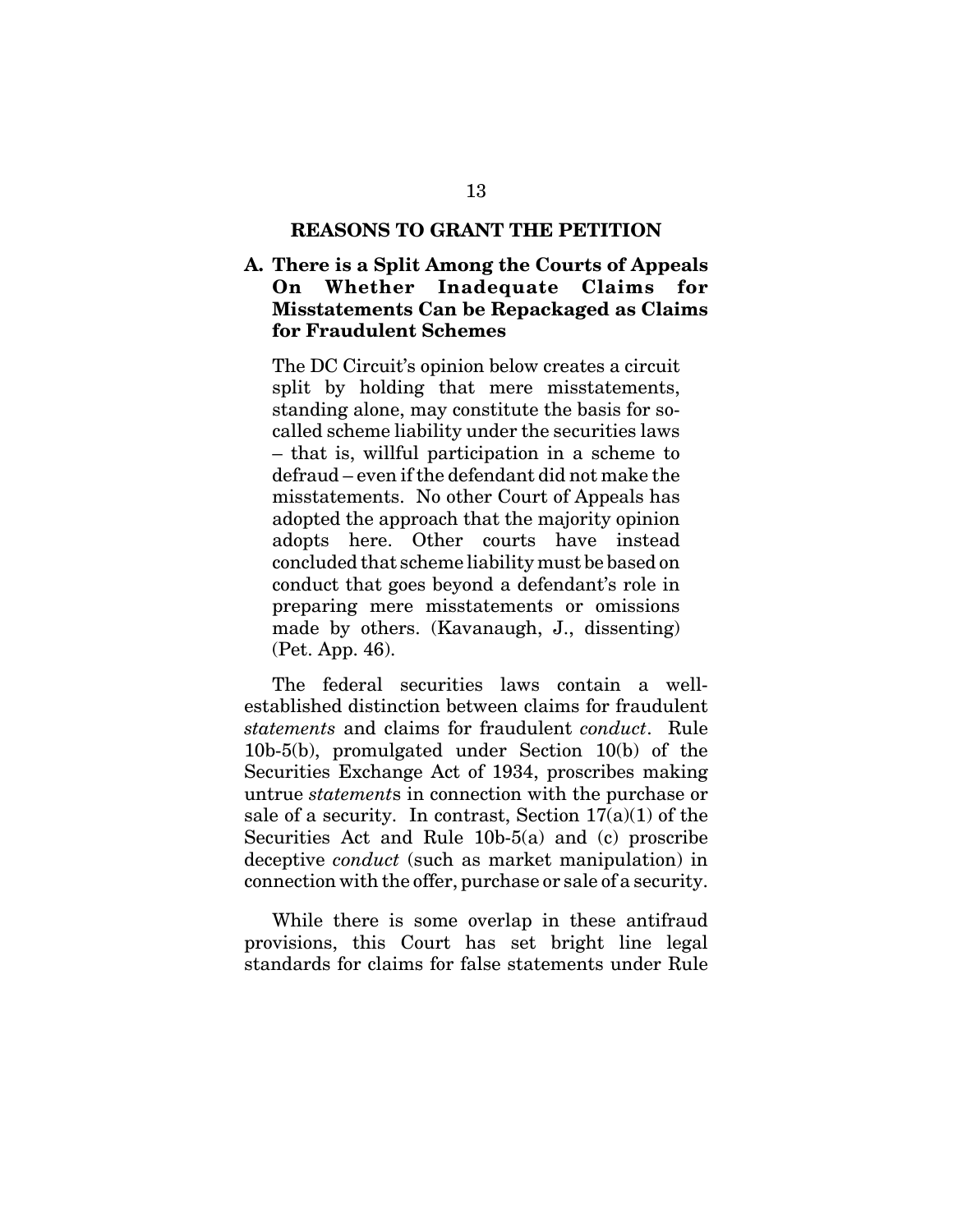#### **REASONS TO GRANT THE PETITION**

### **A. There is a Split Among the Courts of Appeals On Whether Inadequate Claims for Misstatements Can be Repackaged as Claims for Fraudulent Schemes**

The DC Circuit's opinion below creates a circuit split by holding that mere misstatements, standing alone, may constitute the basis for socalled scheme liability under the securities laws – that is, willful participation in a scheme to defraud – even if the defendant did not make the misstatements. No other Court of Appeals has adopted the approach that the majority opinion adopts here. Other courts have instead concluded that scheme liability must be based on conduct that goes beyond a defendant's role in preparing mere misstatements or omissions made by others. (Kavanaugh, J., dissenting) (Pet. App. 46).

The federal securities laws contain a wellestablished distinction between claims for fraudulent *statements* and claims for fraudulent *conduct*. Rule 10b-5(b), promulgated under Section 10(b) of the Securities Exchange Act of 1934, proscribes making untrue *statement*s in connection with the purchase or sale of a security. In contrast, Section  $17(a)(1)$  of the Securities Act and Rule 10b-5(a) and (c) proscribe deceptive *conduct* (such as market manipulation) in connection with the offer, purchase or sale of a security.

While there is some overlap in these antifraud provisions, this Court has set bright line legal standards for claims for false statements under Rule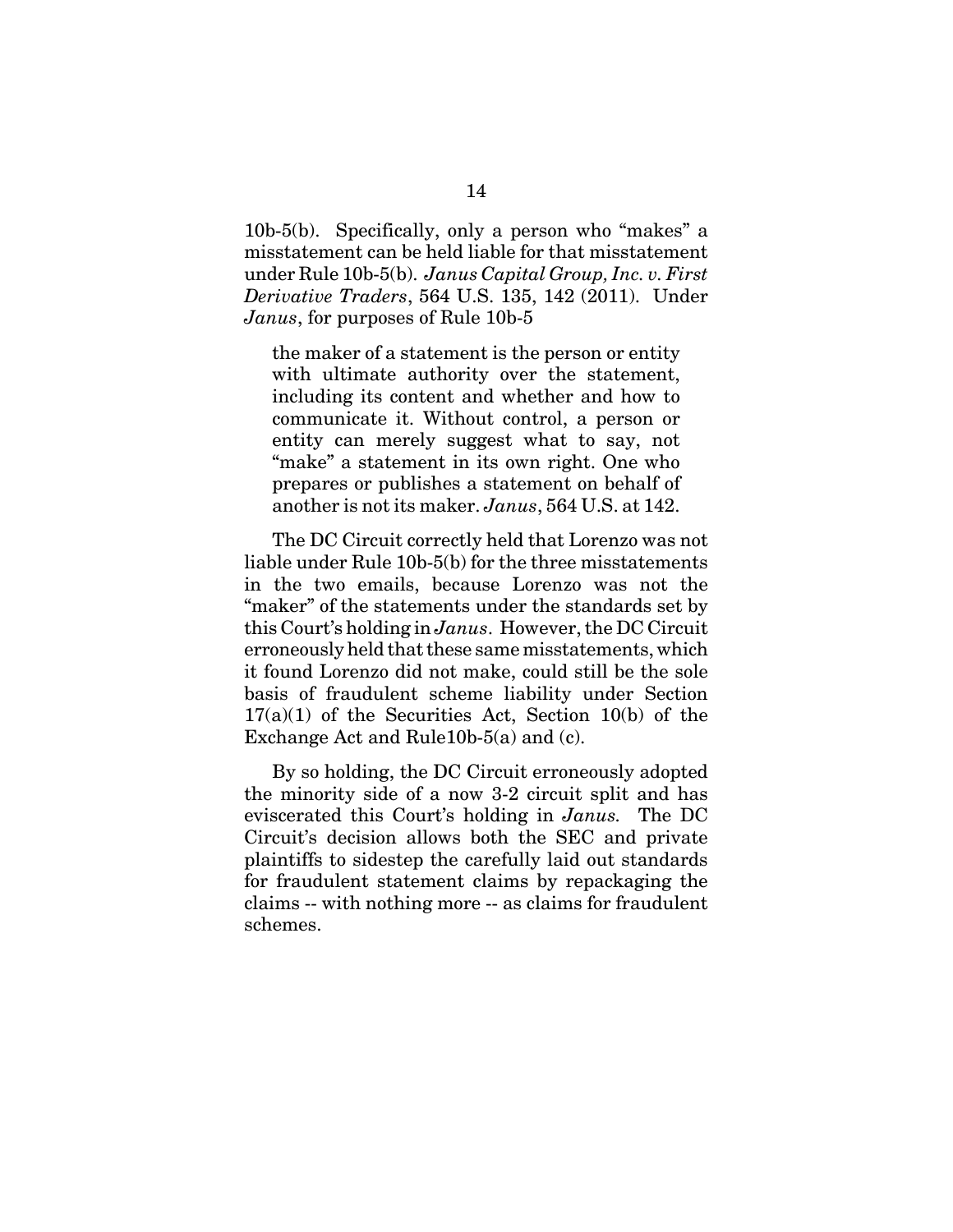10b-5(b). Specifically, only a person who "makes" a misstatement can be held liable for that misstatement under Rule 10b-5(b). *Janus Capital Group, Inc. v. First Derivative Traders*, 564 U.S. 135, 142 (2011). Under *Janus*, for purposes of Rule 10b-5

the maker of a statement is the person or entity with ultimate authority over the statement, including its content and whether and how to communicate it. Without control, a person or entity can merely suggest what to say, not "make" a statement in its own right. One who prepares or publishes a statement on behalf of another is not its maker. *Janus*, 564 U.S. at 142.

The DC Circuit correctly held that Lorenzo was not liable under Rule 10b-5(b) for the three misstatements in the two emails, because Lorenzo was not the "maker" of the statements under the standards set by this Court's holding in *Janus*. However, the DC Circuit erroneously held that these same misstatements, which it found Lorenzo did not make, could still be the sole basis of fraudulent scheme liability under Section  $17(a)(1)$  of the Securities Act, Section 10(b) of the Exchange Act and Rule10b-5(a) and (c).

By so holding, the DC Circuit erroneously adopted the minority side of a now 3-2 circuit split and has eviscerated this Court's holding in *Janus.* The DC Circuit's decision allows both the SEC and private plaintiffs to sidestep the carefully laid out standards for fraudulent statement claims by repackaging the claims -- with nothing more -- as claims for fraudulent schemes.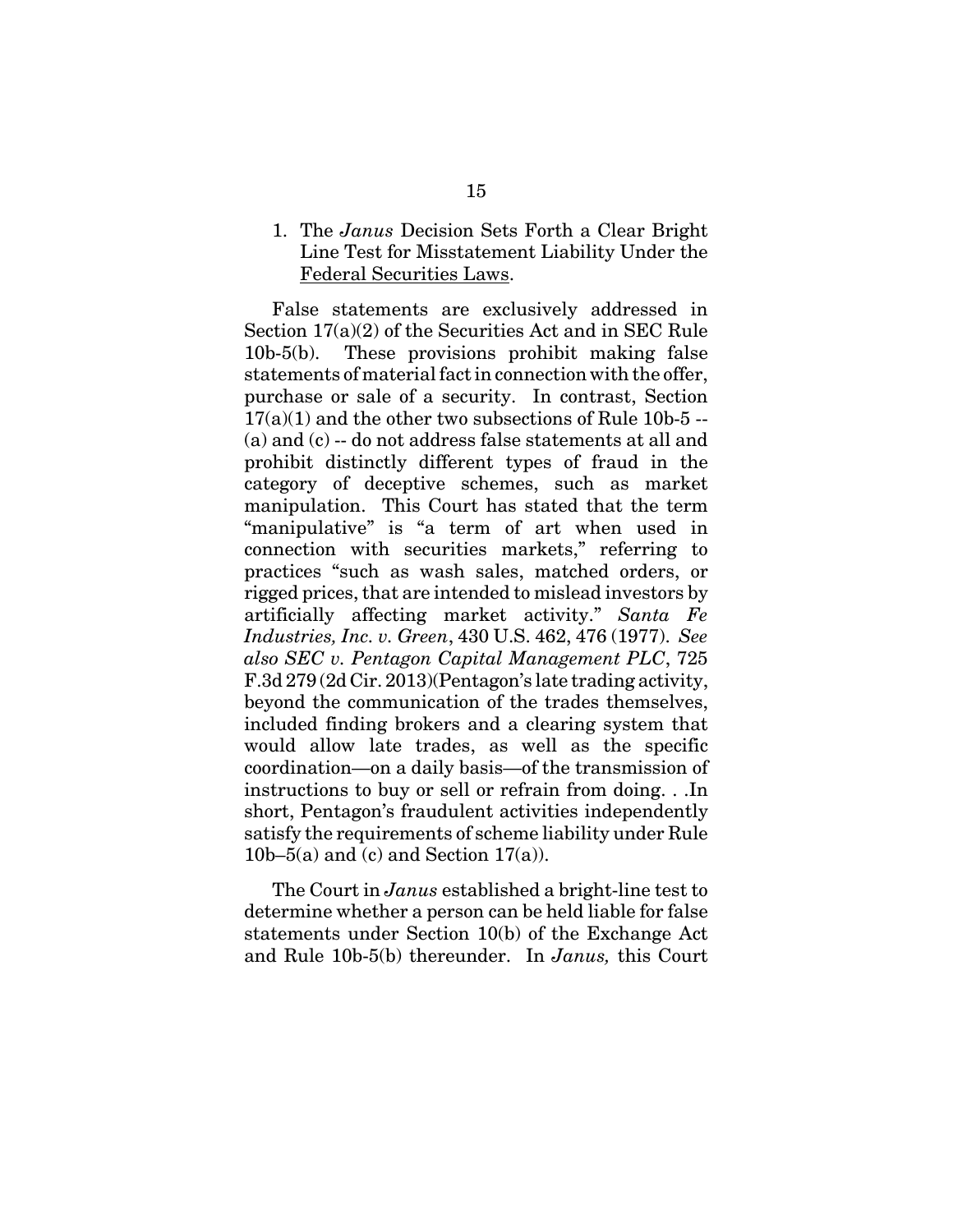### 1. The *Janus* Decision Sets Forth a Clear Bright Line Test for Misstatement Liability Under the Federal Securities Laws.

False statements are exclusively addressed in Section 17(a)(2) of the Securities Act and in SEC Rule 10b-5(b). These provisions prohibit making false statements of material fact in connection with the offer, purchase or sale of a security. In contrast, Section  $17(a)(1)$  and the other two subsections of Rule 10b-5 --(a) and (c) -- do not address false statements at all and prohibit distinctly different types of fraud in the category of deceptive schemes, such as market manipulation. This Court has stated that the term "manipulative" is "a term of art when used in connection with securities markets," referring to practices "such as wash sales, matched orders, or rigged prices, that are intended to mislead investors by artificially affecting market activity." *Santa Fe Industries, Inc. v. Green*, 430 U.S. 462, 476 (1977). *See also SEC v. Pentagon Capital Management PLC*, 725 F.3d 279 (2d Cir. 2013)(Pentagon's late trading activity, beyond the communication of the trades themselves, included finding brokers and a clearing system that would allow late trades, as well as the specific coordination—on a daily basis—of the transmission of instructions to buy or sell or refrain from doing. . .In short, Pentagon's fraudulent activities independently satisfy the requirements of scheme liability under Rule 10b–5(a) and (c) and Section  $17(a)$ ).

The Court in *Janus* established a bright-line test to determine whether a person can be held liable for false statements under Section 10(b) of the Exchange Act and Rule 10b-5(b) thereunder. In *Janus,* this Court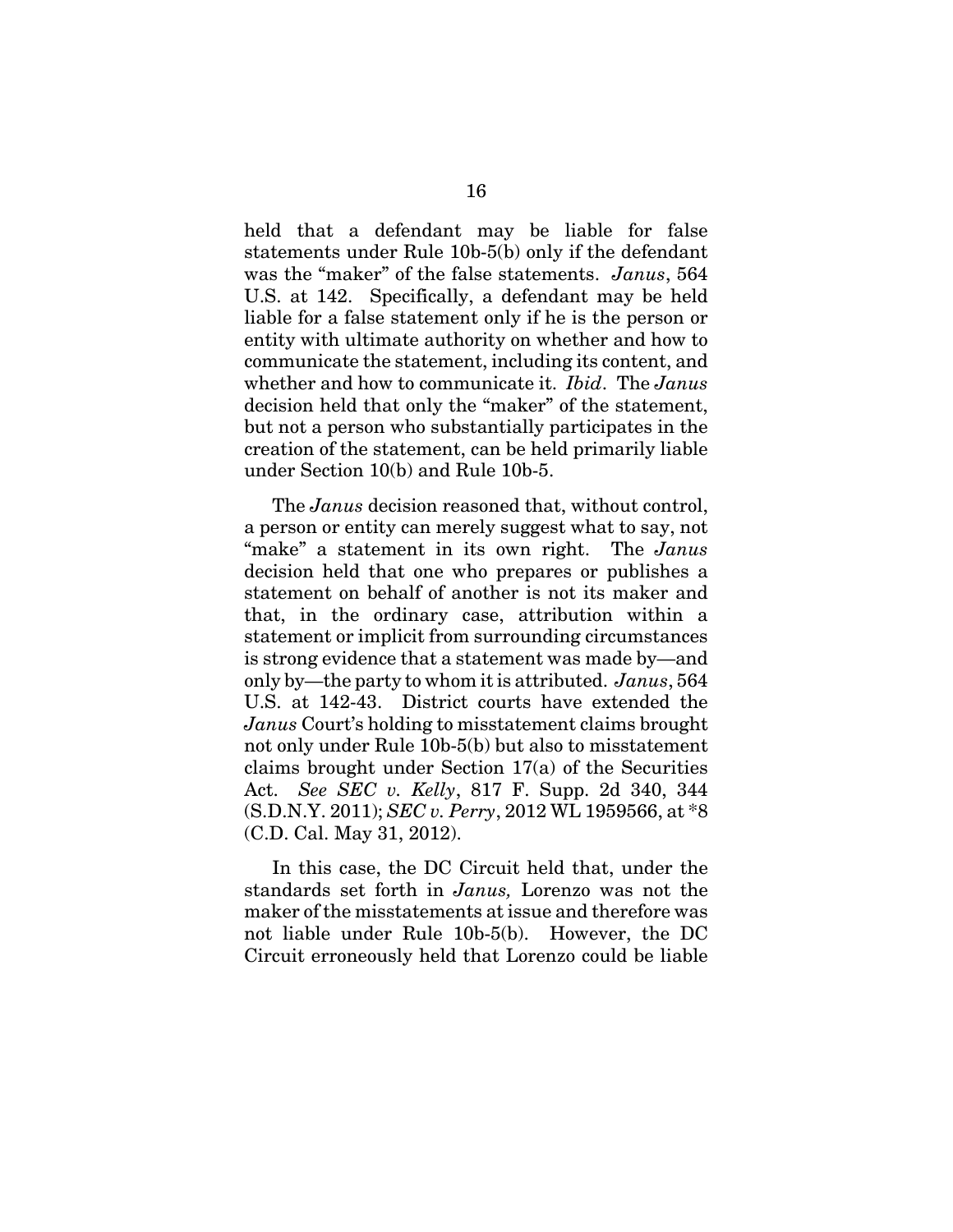held that a defendant may be liable for false statements under Rule 10b-5(b) only if the defendant was the "maker" of the false statements. *Janus*, 564 U.S. at 142. Specifically, a defendant may be held liable for a false statement only if he is the person or entity with ultimate authority on whether and how to communicate the statement, including its content, and whether and how to communicate it. *Ibid*. The *Janus* decision held that only the "maker" of the statement, but not a person who substantially participates in the creation of the statement, can be held primarily liable under Section 10(b) and Rule 10b-5.

The *Janus* decision reasoned that, without control, a person or entity can merely suggest what to say, not "make" a statement in its own right. The *Janus* decision held that one who prepares or publishes a statement on behalf of another is not its maker and that, in the ordinary case, attribution within a statement or implicit from surrounding circumstances is strong evidence that a statement was made by—and only by—the party to whom it is attributed. *Janus*, 564 U.S. at 142-43. District courts have extended the *Janus* Court's holding to misstatement claims brought not only under Rule 10b-5(b) but also to misstatement claims brought under Section 17(a) of the Securities Act. *See SEC v. Kelly*, 817 F. Supp. 2d 340, 344 (S.D.N.Y. 2011); *SEC v. Perry*, 2012 WL 1959566, at \*8 (C.D. Cal. May 31, 2012).

In this case, the DC Circuit held that, under the standards set forth in *Janus,* Lorenzo was not the maker of the misstatements at issue and therefore was not liable under Rule 10b-5(b). However, the DC Circuit erroneously held that Lorenzo could be liable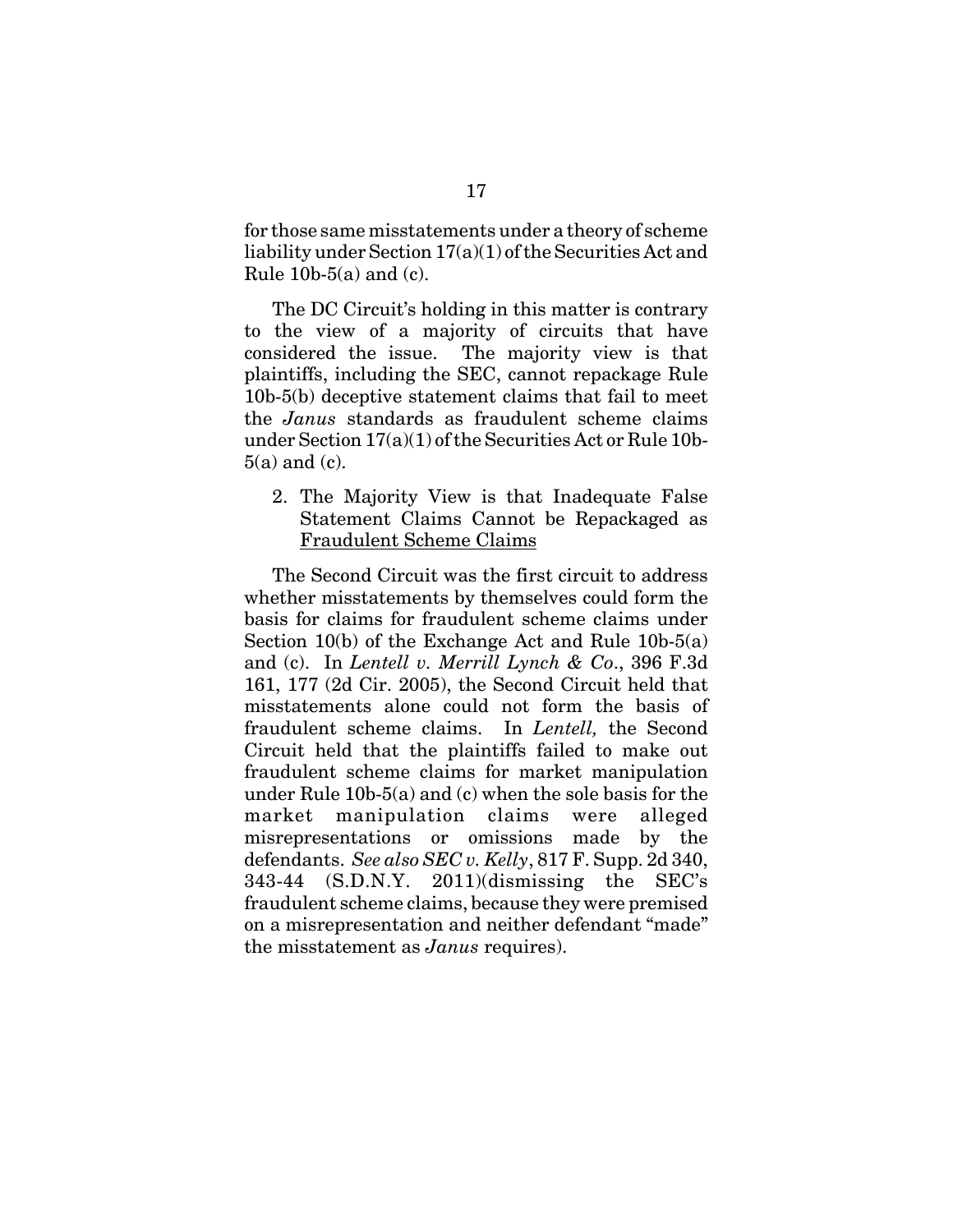for those same misstatements under a theory of scheme liability under Section 17(a)(1) of the Securities Act and Rule  $10b-5(a)$  and (c).

The DC Circuit's holding in this matter is contrary to the view of a majority of circuits that have considered the issue. The majority view is that plaintiffs, including the SEC, cannot repackage Rule 10b-5(b) deceptive statement claims that fail to meet the *Janus* standards as fraudulent scheme claims under Section 17(a)(1) of the Securities Act or Rule 10b- $5(a)$  and (c).

2. The Majority View is that Inadequate False Statement Claims Cannot be Repackaged as Fraudulent Scheme Claims

The Second Circuit was the first circuit to address whether misstatements by themselves could form the basis for claims for fraudulent scheme claims under Section 10(b) of the Exchange Act and Rule 10b-5(a) and (c). In *Lentell v. Merrill Lynch & Co*., 396 F.3d 161, 177 (2d Cir. 2005), the Second Circuit held that misstatements alone could not form the basis of fraudulent scheme claims. In *Lentell,* the Second Circuit held that the plaintiffs failed to make out fraudulent scheme claims for market manipulation under Rule 10b-5(a) and (c) when the sole basis for the market manipulation claims were alleged misrepresentations or omissions made by the defendants. *See also SEC v. Kelly*, 817 F. Supp. 2d 340, 343-44 (S.D.N.Y. 2011)(dismissing the SEC's fraudulent scheme claims, because they were premised on a misrepresentation and neither defendant "made" the misstatement as *Janus* requires).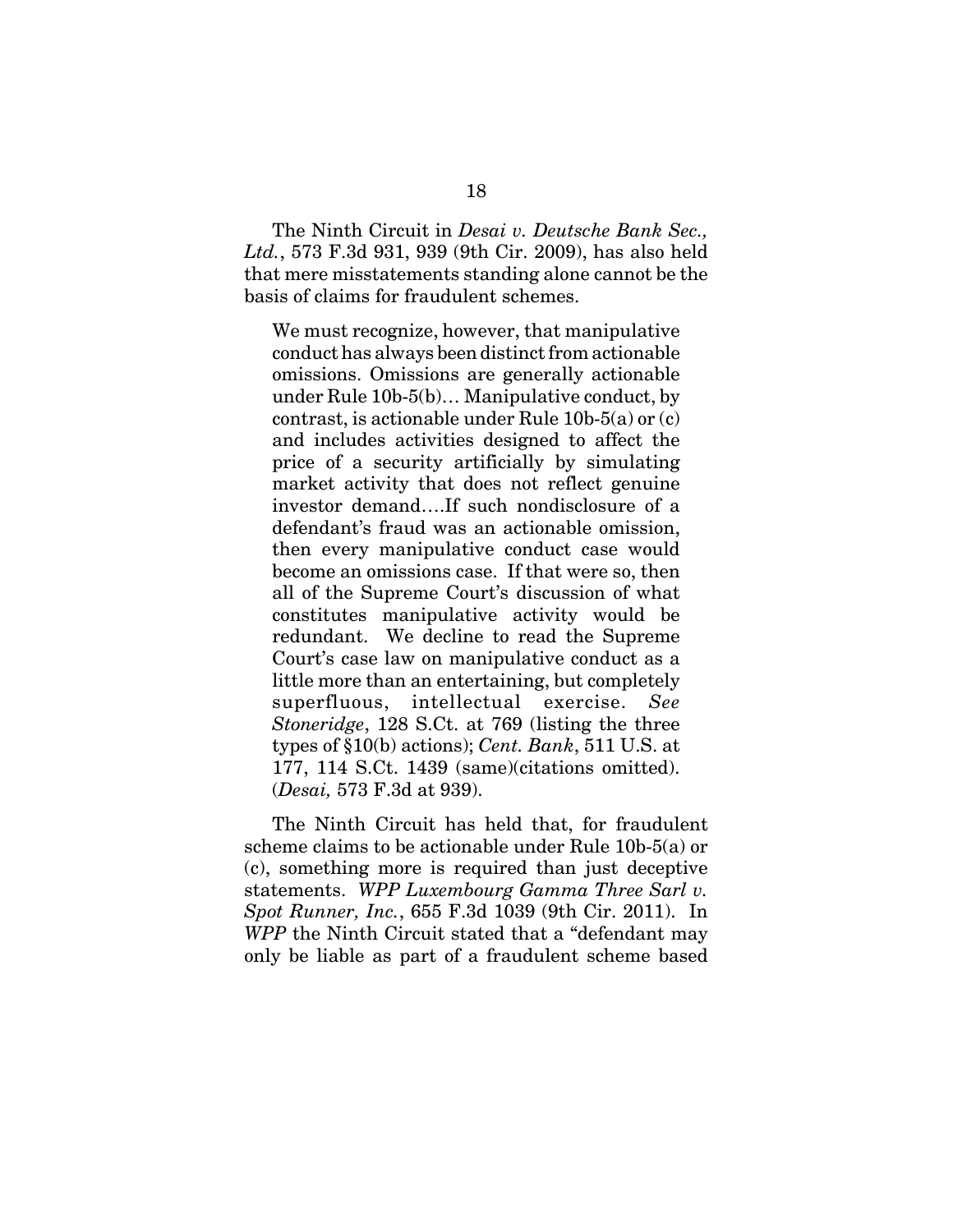The Ninth Circuit in *Desai v. Deutsche Bank Sec., Ltd.*, 573 F.3d 931, 939 (9th Cir. 2009), has also held that mere misstatements standing alone cannot be the basis of claims for fraudulent schemes.

We must recognize, however, that manipulative conduct has always been distinct from actionable omissions. Omissions are generally actionable under Rule 10b-5(b)… Manipulative conduct, by contrast, is actionable under Rule 10b-5(a) or (c) and includes activities designed to affect the price of a security artificially by simulating market activity that does not reflect genuine investor demand….If such nondisclosure of a defendant's fraud was an actionable omission, then every manipulative conduct case would become an omissions case. If that were so, then all of the Supreme Court's discussion of what constitutes manipulative activity would be redundant. We decline to read the Supreme Court's case law on manipulative conduct as a little more than an entertaining, but completely superfluous, intellectual exercise. *See Stoneridge*, 128 S.Ct. at 769 (listing the three types of §10(b) actions); *Cent. Bank*, 511 U.S. at 177, 114 S.Ct. 1439 (same)(citations omitted). (*Desai,* 573 F.3d at 939).

The Ninth Circuit has held that, for fraudulent scheme claims to be actionable under Rule 10b-5(a) or (c), something more is required than just deceptive statements. *WPP Luxembourg Gamma Three Sarl v. Spot Runner, Inc.*, 655 F.3d 1039 (9th Cir. 2011). In *WPP* the Ninth Circuit stated that a "defendant may only be liable as part of a fraudulent scheme based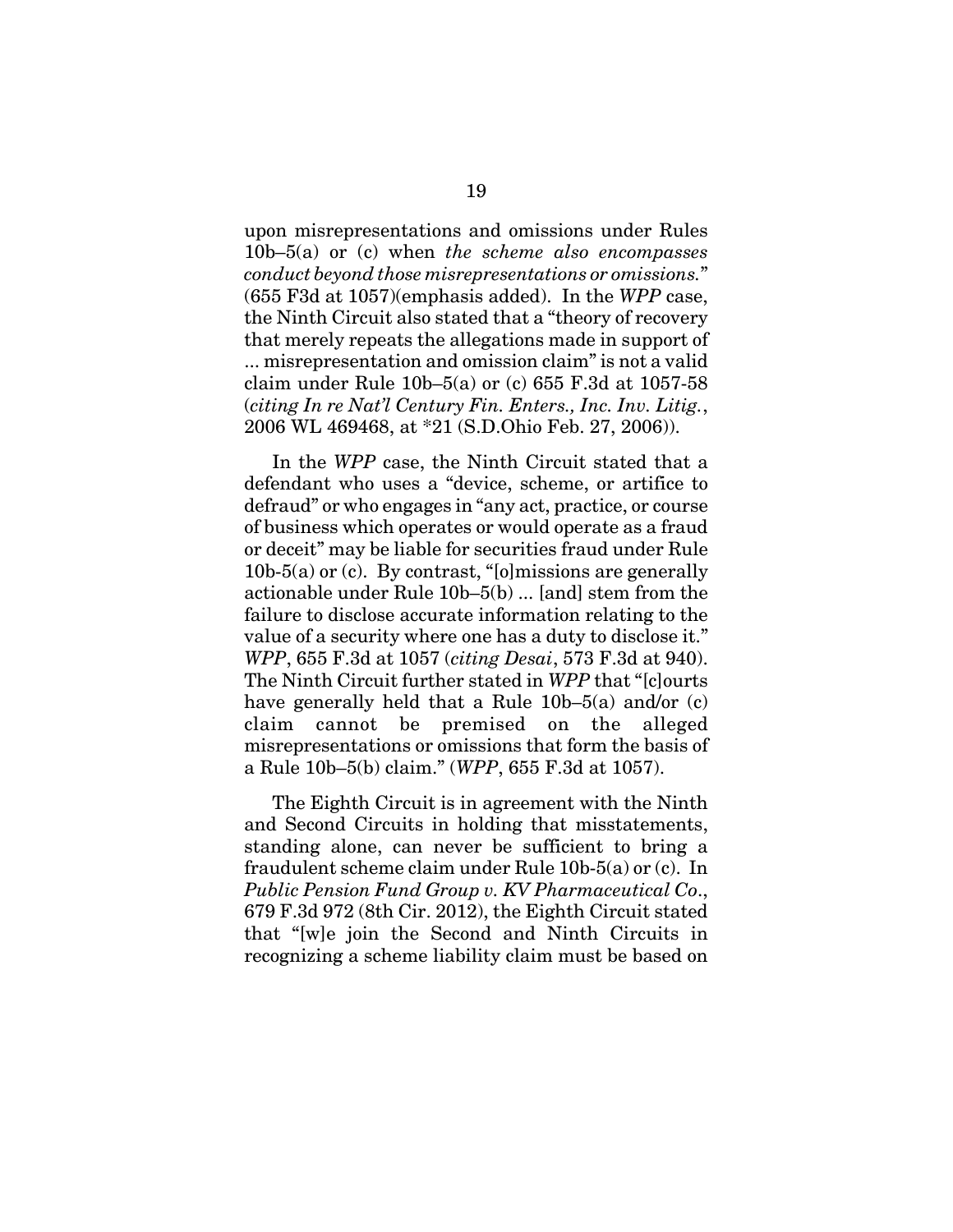upon misrepresentations and omissions under Rules 10b–5(a) or (c) when *the scheme also encompasses conduct beyond those misrepresentations or omissions.*" (655 F3d at 1057)(emphasis added). In the *WPP* case, the Ninth Circuit also stated that a "theory of recovery that merely repeats the allegations made in support of ... misrepresentation and omission claim" is not a valid claim under Rule 10b–5(a) or (c) 655 F.3d at 1057-58 (*citing In re Nat'l Century Fin. Enters., Inc. Inv. Litig.*, 2006 WL 469468, at \*21 (S.D.Ohio Feb. 27, 2006)).

In the *WPP* case, the Ninth Circuit stated that a defendant who uses a "device, scheme, or artifice to defraud" or who engages in "any act, practice, or course of business which operates or would operate as a fraud or deceit" may be liable for securities fraud under Rule  $10b-5(a)$  or (c). By contrast, "[o]missions are generally actionable under Rule 10b–5(b) ... [and] stem from the failure to disclose accurate information relating to the value of a security where one has a duty to disclose it." *WPP*, 655 F.3d at 1057 (*citing Desai*, 573 F.3d at 940). The Ninth Circuit further stated in *WPP* that "[c]ourts have generally held that a Rule 10b–5(a) and/or (c) claim cannot be premised on the alleged misrepresentations or omissions that form the basis of a Rule 10b–5(b) claim." (*WPP*, 655 F.3d at 1057).

The Eighth Circuit is in agreement with the Ninth and Second Circuits in holding that misstatements, standing alone, can never be sufficient to bring a fraudulent scheme claim under Rule 10b-5(a) or (c). In *Public Pension Fund Group v. KV Pharmaceutical Co*., 679 F.3d 972 (8th Cir. 2012), the Eighth Circuit stated that "[w]e join the Second and Ninth Circuits in recognizing a scheme liability claim must be based on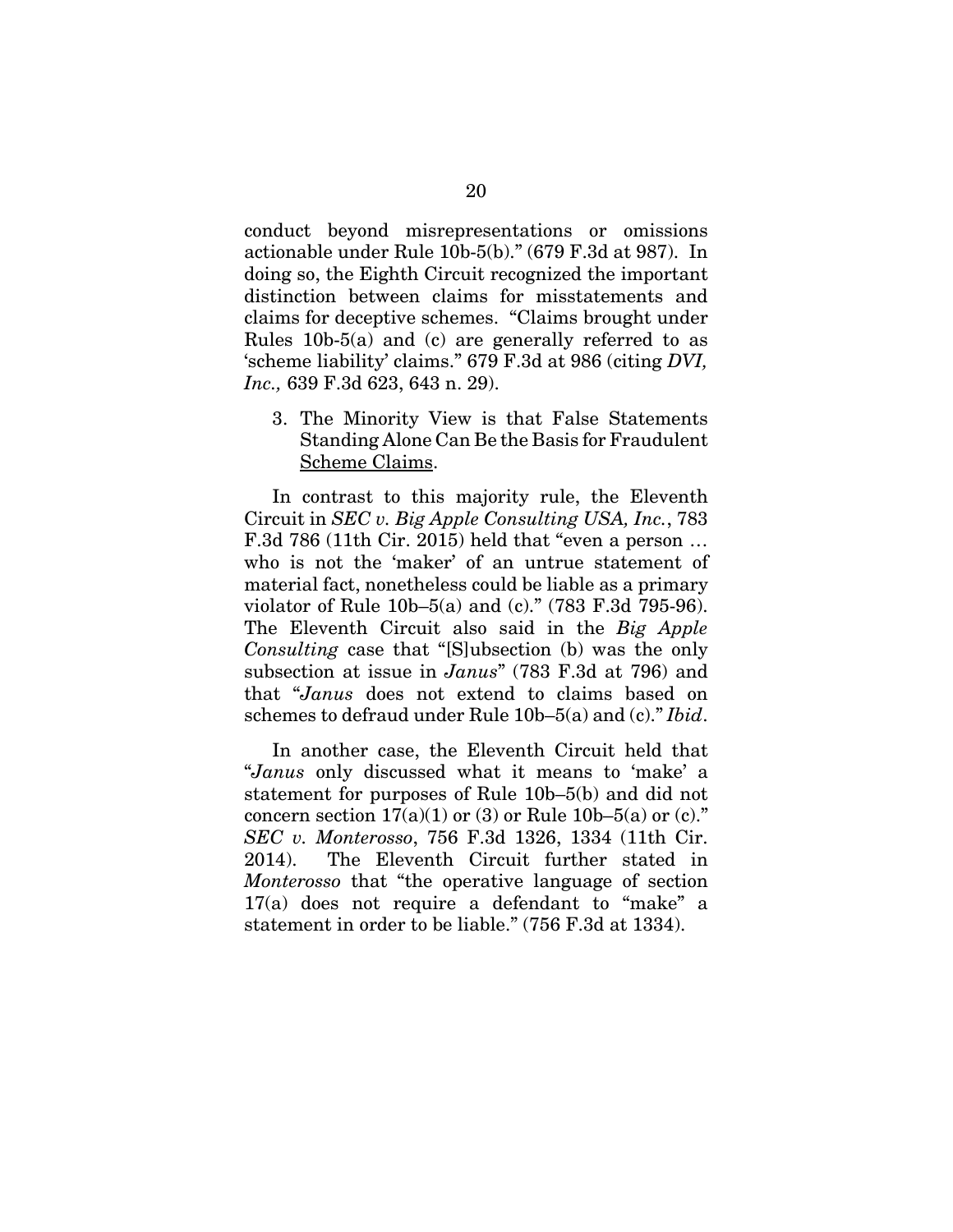conduct beyond misrepresentations or omissions actionable under Rule 10b-5(b)." (679 F.3d at 987). In doing so, the Eighth Circuit recognized the important distinction between claims for misstatements and claims for deceptive schemes. "Claims brought under Rules 10b-5(a) and (c) are generally referred to as 'scheme liability' claims." 679 F.3d at 986 (citing *DVI, Inc.,* 639 F.3d 623, 643 n. 29).

3. The Minority View is that False Statements Standing Alone Can Be the Basis for Fraudulent Scheme Claims.

In contrast to this majority rule, the Eleventh Circuit in *SEC v. Big Apple Consulting USA, Inc.*, 783 F.3d 786 (11th Cir. 2015) held that "even a person … who is not the 'maker' of an untrue statement of material fact, nonetheless could be liable as a primary violator of Rule 10b–5(a) and (c)." (783 F.3d 795-96). The Eleventh Circuit also said in the *Big Apple Consulting* case that "[S]ubsection (b) was the only subsection at issue in *Janus*" (783 F.3d at 796) and that "*Janus* does not extend to claims based on schemes to defraud under Rule 10b–5(a) and (c)." *Ibid*.

In another case, the Eleventh Circuit held that "*Janus* only discussed what it means to 'make' a statement for purposes of Rule 10b–5(b) and did not concern section  $17(a)(1)$  or (3) or Rule 10b–5(a) or (c)." *SEC v. Monterosso*, 756 F.3d 1326, 1334 (11th Cir. 2014). The Eleventh Circuit further stated in *Monterosso* that "the operative language of section 17(a) does not require a defendant to "make" a statement in order to be liable." (756 F.3d at 1334).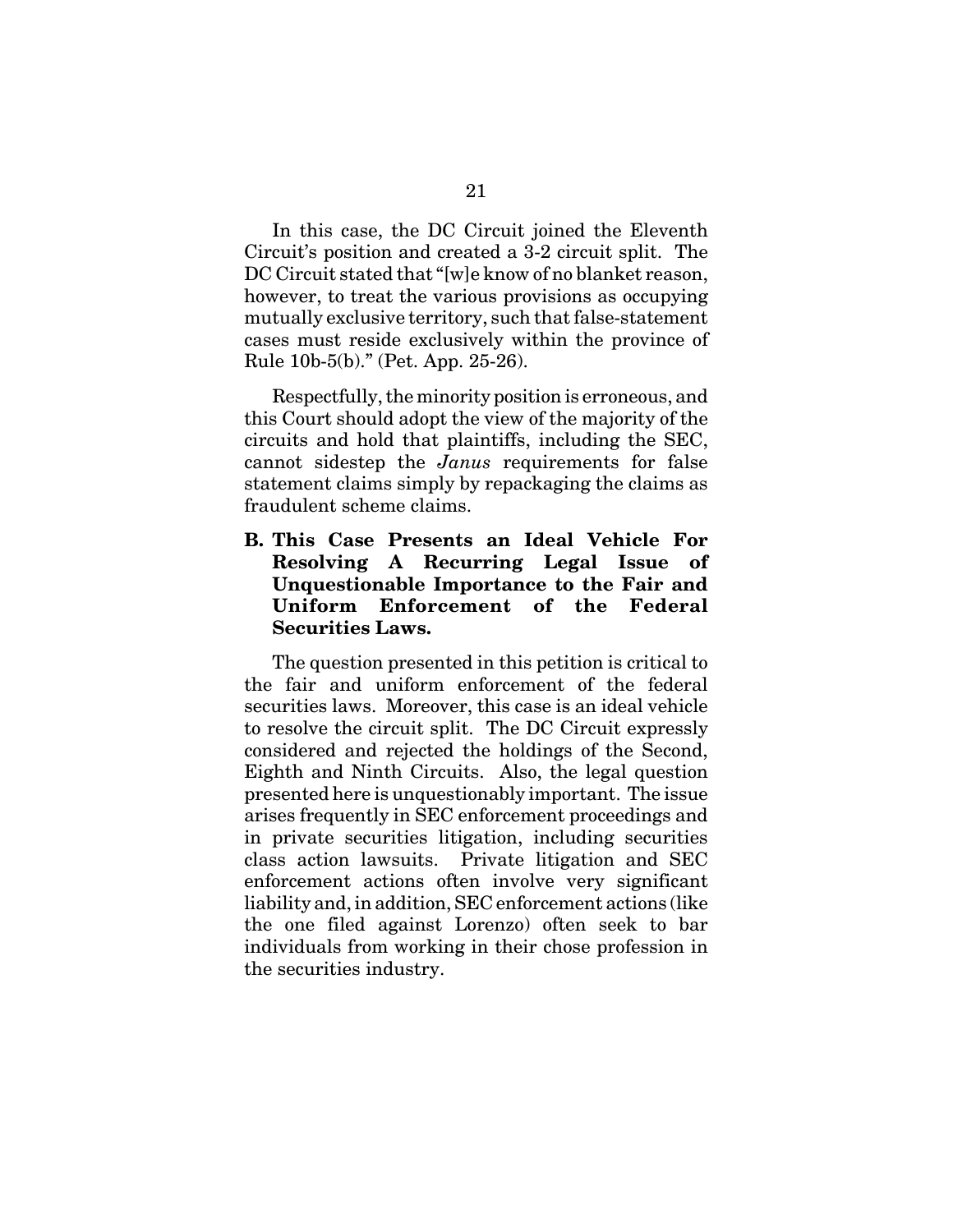In this case, the DC Circuit joined the Eleventh Circuit's position and created a 3-2 circuit split. The DC Circuit stated that "[w]e know of no blanket reason, however, to treat the various provisions as occupying mutually exclusive territory, such that false-statement cases must reside exclusively within the province of Rule 10b-5(b)." (Pet. App. 25-26).

Respectfully, the minority position is erroneous, and this Court should adopt the view of the majority of the circuits and hold that plaintiffs, including the SEC, cannot sidestep the *Janus* requirements for false statement claims simply by repackaging the claims as fraudulent scheme claims.

### **B. This Case Presents an Ideal Vehicle For Resolving A Recurring Legal Issue of Unquestionable Importance to the Fair and Uniform Enforcement of the Federal Securities Laws.**

The question presented in this petition is critical to the fair and uniform enforcement of the federal securities laws. Moreover, this case is an ideal vehicle to resolve the circuit split. The DC Circuit expressly considered and rejected the holdings of the Second, Eighth and Ninth Circuits. Also, the legal question presented here is unquestionably important. The issue arises frequently in SEC enforcement proceedings and in private securities litigation, including securities class action lawsuits. Private litigation and SEC enforcement actions often involve very significant liability and, in addition, SEC enforcement actions (like the one filed against Lorenzo) often seek to bar individuals from working in their chose profession in the securities industry.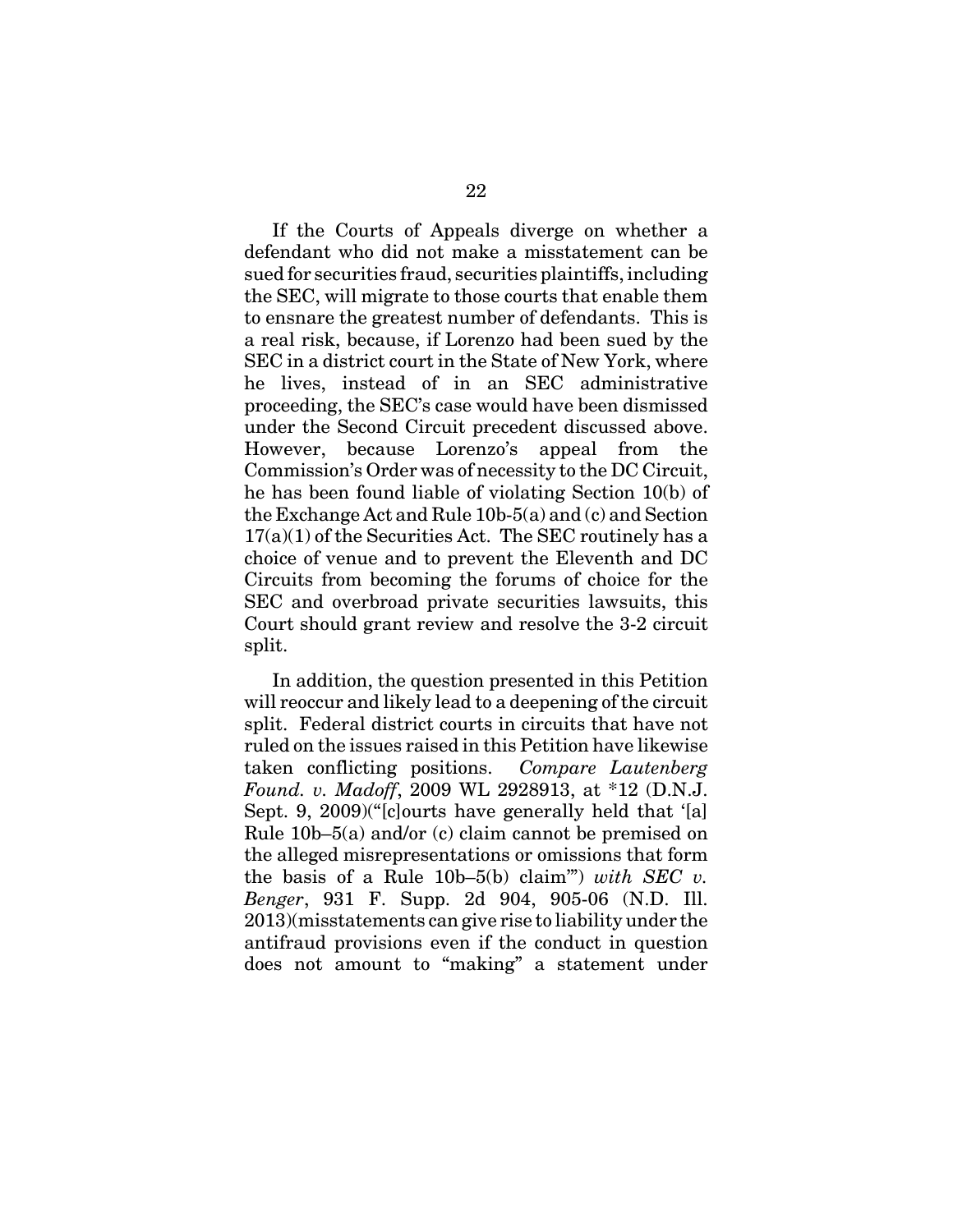If the Courts of Appeals diverge on whether a defendant who did not make a misstatement can be sued for securities fraud, securities plaintiffs, including the SEC, will migrate to those courts that enable them to ensnare the greatest number of defendants. This is a real risk, because, if Lorenzo had been sued by the SEC in a district court in the State of New York, where he lives, instead of in an SEC administrative proceeding, the SEC's case would have been dismissed under the Second Circuit precedent discussed above. However, because Lorenzo's appeal from the Commission's Order was of necessity to the DC Circuit, he has been found liable of violating Section 10(b) of the Exchange Act and Rule 10b-5(a) and (c) and Section  $17(a)(1)$  of the Securities Act. The SEC routinely has a choice of venue and to prevent the Eleventh and DC Circuits from becoming the forums of choice for the SEC and overbroad private securities lawsuits, this Court should grant review and resolve the 3-2 circuit split.

In addition, the question presented in this Petition will reoccur and likely lead to a deepening of the circuit split. Federal district courts in circuits that have not ruled on the issues raised in this Petition have likewise taken conflicting positions. *Compare Lautenberg Found. v. Madoff*, 2009 WL 2928913, at \*12 (D.N.J. Sept. 9, 2009)("[c]ourts have generally held that '[a] Rule 10b–5(a) and/or (c) claim cannot be premised on the alleged misrepresentations or omissions that form the basis of a Rule 10b–5(b) claim'") *with SEC v. Benger*, 931 F. Supp. 2d 904, 905-06 (N.D. Ill. 2013)(misstatements can give rise to liability under the antifraud provisions even if the conduct in question does not amount to "making" a statement under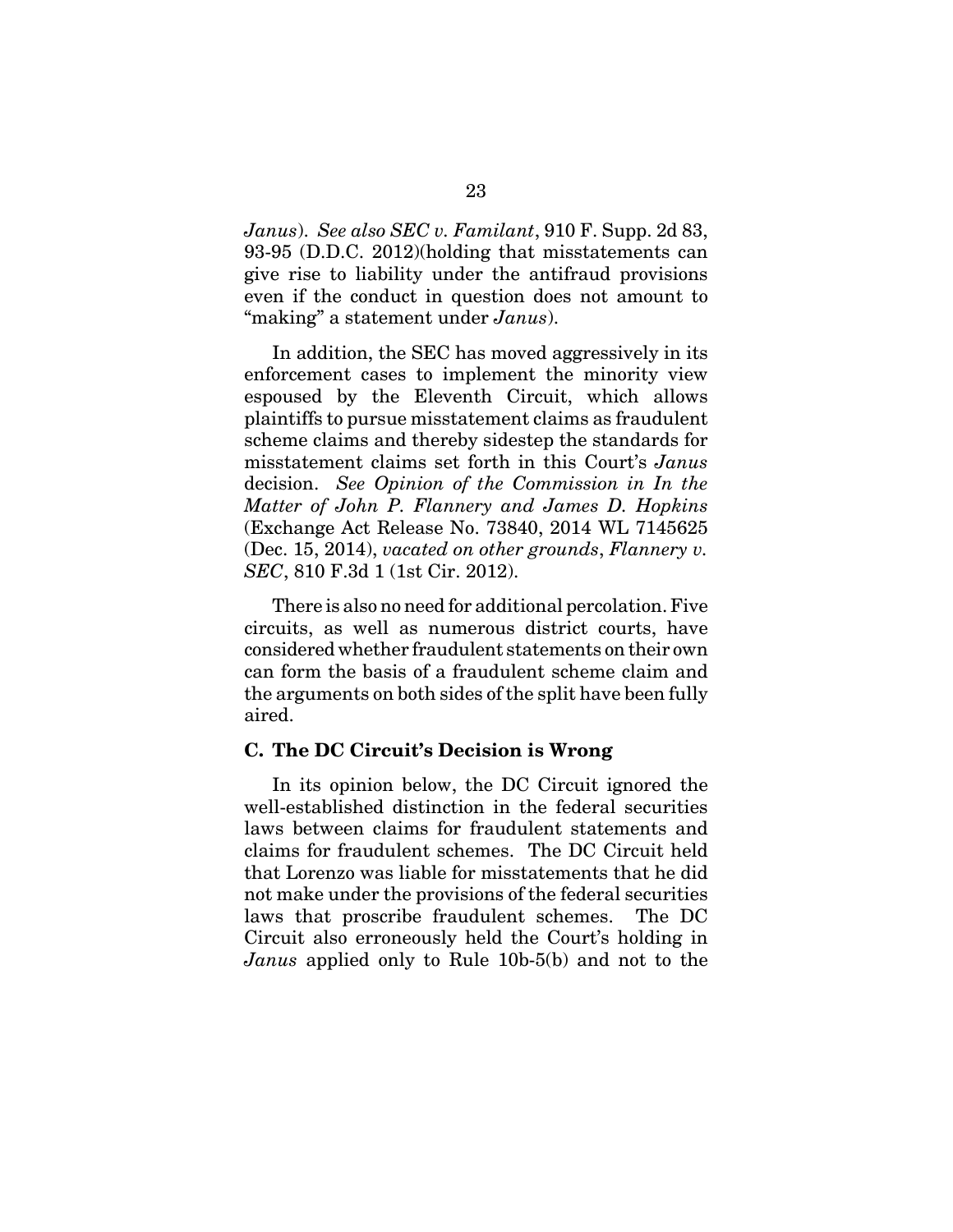*Janus*). *See also SEC v. Familant*, 910 F. Supp. 2d 83, 93-95 (D.D.C. 2012)(holding that misstatements can give rise to liability under the antifraud provisions even if the conduct in question does not amount to "making" a statement under *Janus*).

In addition, the SEC has moved aggressively in its enforcement cases to implement the minority view espoused by the Eleventh Circuit, which allows plaintiffs to pursue misstatement claims as fraudulent scheme claims and thereby sidestep the standards for misstatement claims set forth in this Court's *Janus* decision. *See Opinion of the Commission in In the Matter of John P. Flannery and James D. Hopkins* (Exchange Act Release No. 73840, 2014 WL 7145625 (Dec. 15, 2014), *vacated on other grounds*, *Flannery v. SEC*, 810 F.3d 1 (1st Cir. 2012).

There is also no need for additional percolation. Five circuits, as well as numerous district courts, have considered whether fraudulent statements on their own can form the basis of a fraudulent scheme claim and the arguments on both sides of the split have been fully aired.

#### **C. The DC Circuit's Decision is Wrong**

In its opinion below, the DC Circuit ignored the well-established distinction in the federal securities laws between claims for fraudulent statements and claims for fraudulent schemes. The DC Circuit held that Lorenzo was liable for misstatements that he did not make under the provisions of the federal securities laws that proscribe fraudulent schemes. The DC Circuit also erroneously held the Court's holding in *Janus* applied only to Rule 10b-5(b) and not to the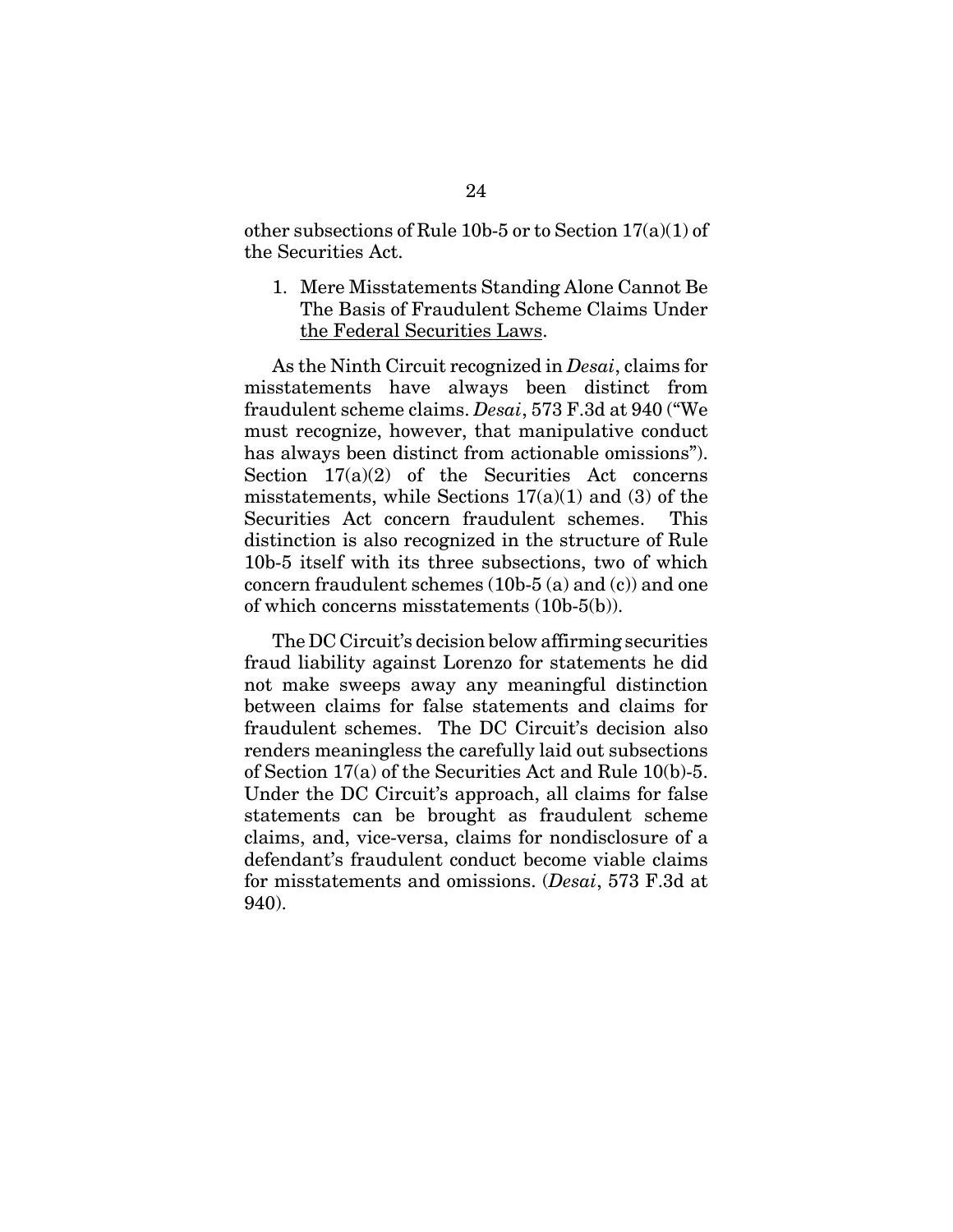other subsections of Rule 10b-5 or to Section  $17(a)(1)$  of the Securities Act.

1. Mere Misstatements Standing Alone Cannot Be The Basis of Fraudulent Scheme Claims Under the Federal Securities Laws.

As the Ninth Circuit recognized in *Desai*, claims for misstatements have always been distinct from fraudulent scheme claims. *Desai*, 573 F.3d at 940 ("We must recognize, however, that manipulative conduct has always been distinct from actionable omissions"). Section 17(a)(2) of the Securities Act concerns misstatements, while Sections  $17(a)(1)$  and (3) of the Securities Act concern fraudulent schemes. This distinction is also recognized in the structure of Rule 10b-5 itself with its three subsections, two of which concern fraudulent schemes (10b-5 (a) and (c)) and one of which concerns misstatements (10b-5(b)).

The DC Circuit's decision below affirming securities fraud liability against Lorenzo for statements he did not make sweeps away any meaningful distinction between claims for false statements and claims for fraudulent schemes. The DC Circuit's decision also renders meaningless the carefully laid out subsections of Section 17(a) of the Securities Act and Rule 10(b)-5. Under the DC Circuit's approach, all claims for false statements can be brought as fraudulent scheme claims, and, vice-versa, claims for nondisclosure of a defendant's fraudulent conduct become viable claims for misstatements and omissions. (*Desai*, 573 F.3d at 940).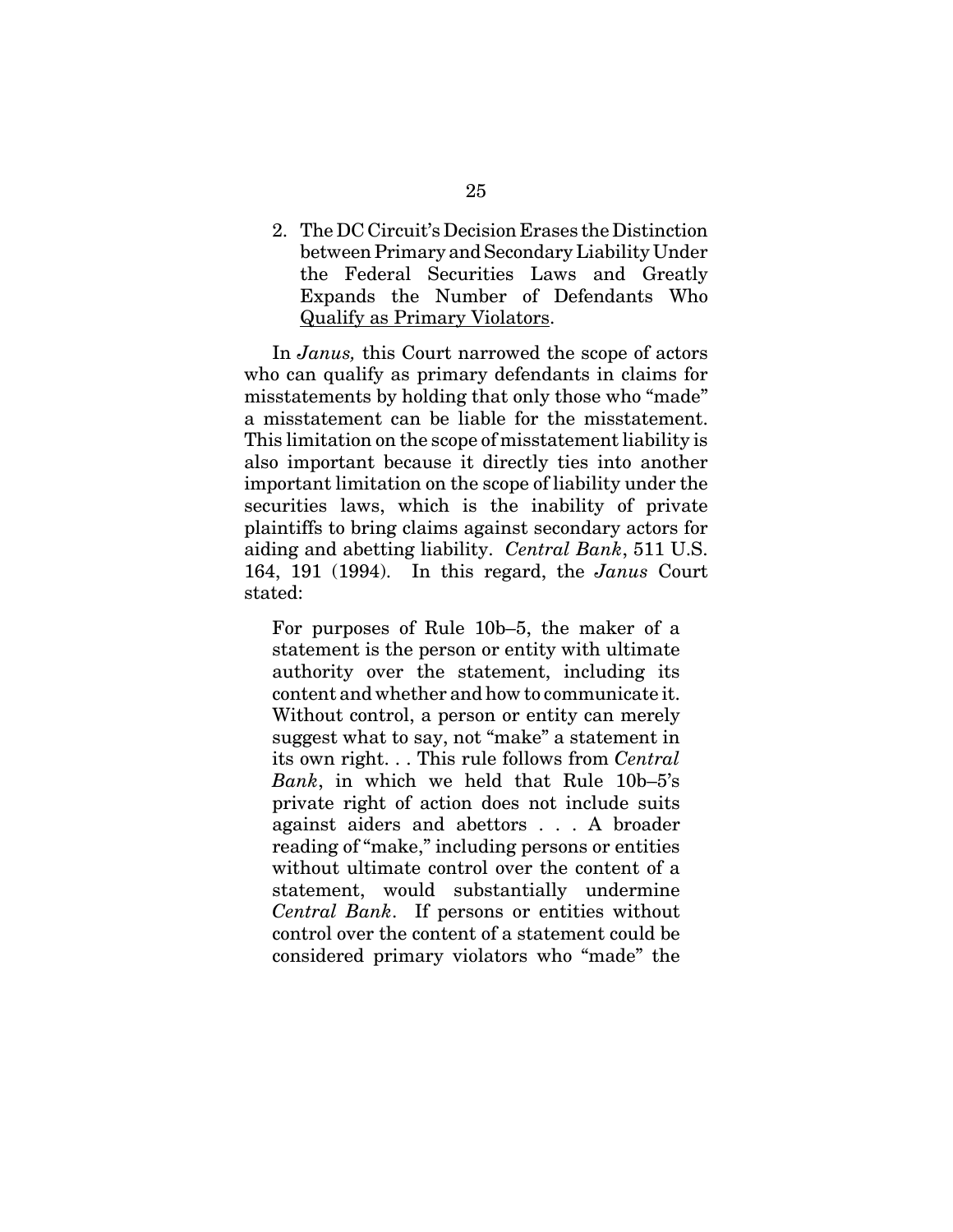2. The DC Circuit's Decision Erases the Distinction between Primary and Secondary Liability Under the Federal Securities Laws and Greatly Expands the Number of Defendants Who Qualify as Primary Violators.

In *Janus,* this Court narrowed the scope of actors who can qualify as primary defendants in claims for misstatements by holding that only those who "made" a misstatement can be liable for the misstatement. This limitation on the scope of misstatement liability is also important because it directly ties into another important limitation on the scope of liability under the securities laws, which is the inability of private plaintiffs to bring claims against secondary actors for aiding and abetting liability. *Central Bank*, 511 U.S. 164, 191 (1994). In this regard, the *Janus* Court stated:

For purposes of Rule 10b–5, the maker of a statement is the person or entity with ultimate authority over the statement, including its content and whether and how to communicate it. Without control, a person or entity can merely suggest what to say, not "make" a statement in its own right. . . This rule follows from *Central Bank*, in which we held that Rule 10b–5's private right of action does not include suits against aiders and abettors . . . A broader reading of "make," including persons or entities without ultimate control over the content of a statement, would substantially undermine *Central Bank*. If persons or entities without control over the content of a statement could be considered primary violators who "made" the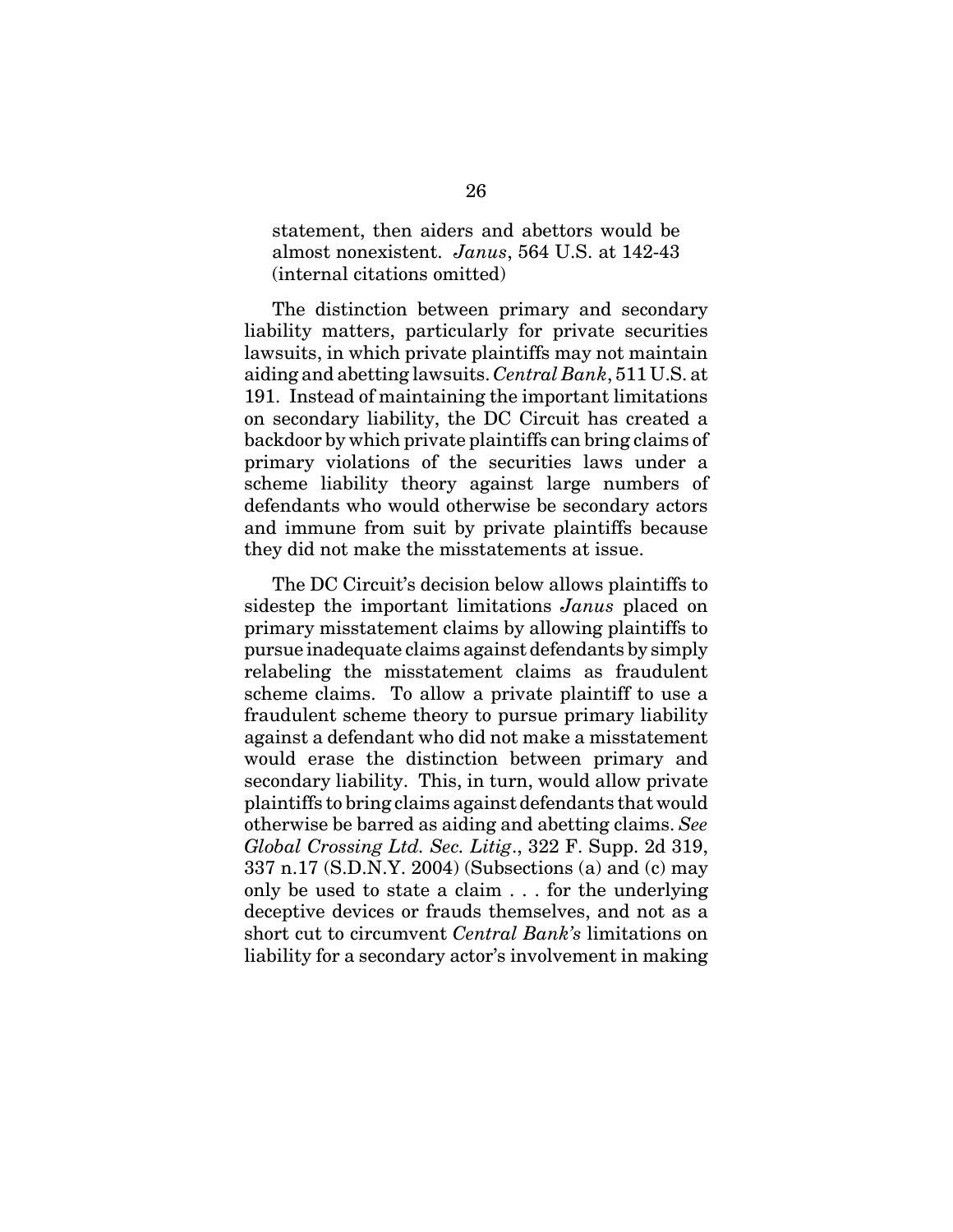statement, then aiders and abettors would be almost nonexistent. *Janus*, 564 U.S. at 142-43 (internal citations omitted)

The distinction between primary and secondary liability matters, particularly for private securities lawsuits, in which private plaintiffs may not maintain aiding and abetting lawsuits. *Central Bank*, 511 U.S. at 191. Instead of maintaining the important limitations on secondary liability, the DC Circuit has created a backdoor by which private plaintiffs can bring claims of primary violations of the securities laws under a scheme liability theory against large numbers of defendants who would otherwise be secondary actors and immune from suit by private plaintiffs because they did not make the misstatements at issue.

The DC Circuit's decision below allows plaintiffs to sidestep the important limitations *Janus* placed on primary misstatement claims by allowing plaintiffs to pursue inadequate claims against defendants by simply relabeling the misstatement claims as fraudulent scheme claims. To allow a private plaintiff to use a fraudulent scheme theory to pursue primary liability against a defendant who did not make a misstatement would erase the distinction between primary and secondary liability. This, in turn, would allow private plaintiffs to bring claims against defendants that would otherwise be barred as aiding and abetting claims. *See Global Crossing Ltd. Sec. Litig*., 322 F. Supp. 2d 319, 337 n.17 (S.D.N.Y. 2004) (Subsections (a) and (c) may only be used to state a claim . . . for the underlying deceptive devices or frauds themselves, and not as a short cut to circumvent *Central Bank's* limitations on liability for a secondary actor's involvement in making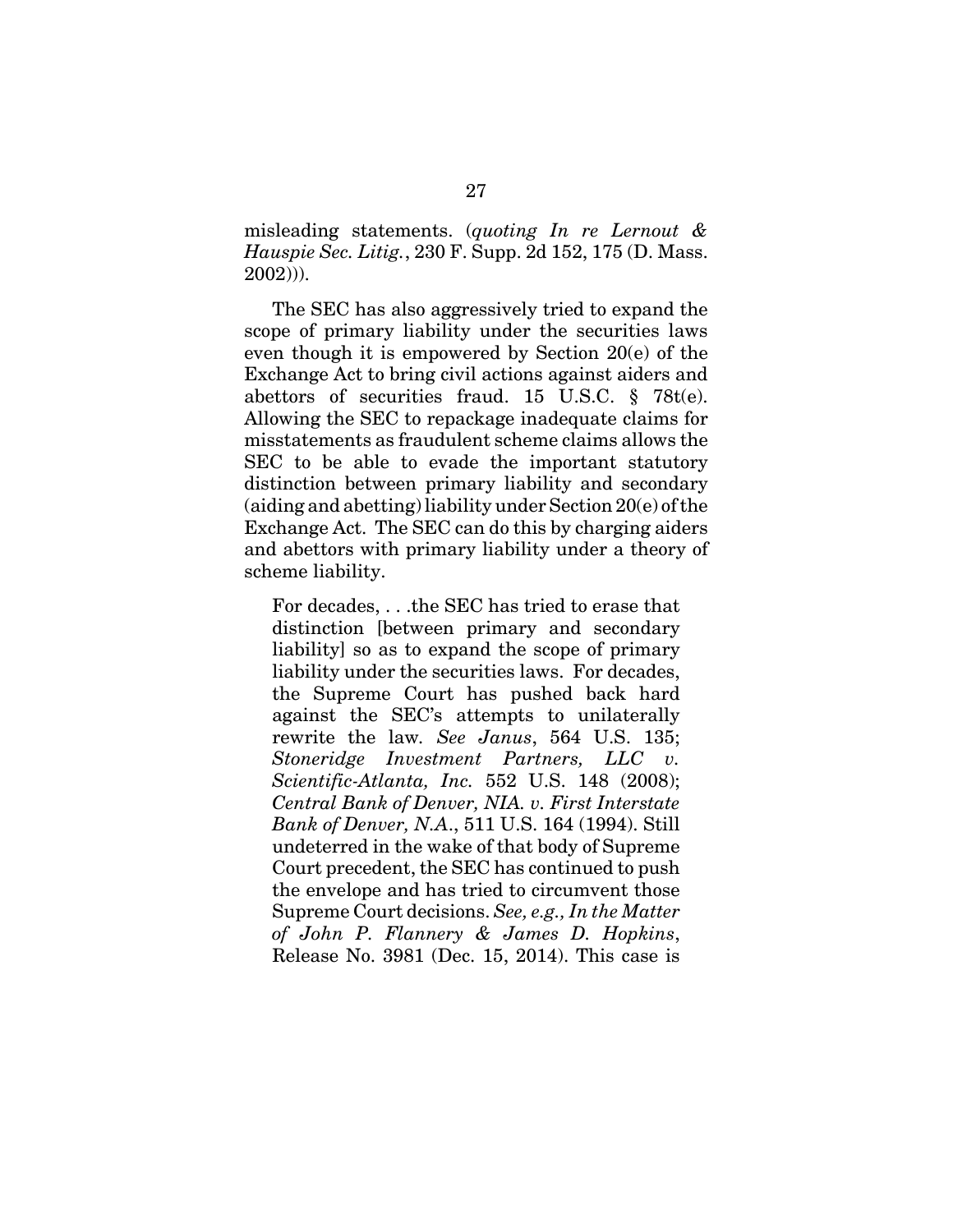misleading statements. (*quoting In re Lernout & Hauspie Sec. Litig.*, 230 F. Supp. 2d 152, 175 (D. Mass. 2002))).

The SEC has also aggressively tried to expand the scope of primary liability under the securities laws even though it is empowered by Section 20(e) of the Exchange Act to bring civil actions against aiders and abettors of securities fraud. 15 U.S.C. § 78t(e). Allowing the SEC to repackage inadequate claims for misstatements as fraudulent scheme claims allows the SEC to be able to evade the important statutory distinction between primary liability and secondary (aiding and abetting) liability under Section 20(e) of the Exchange Act. The SEC can do this by charging aiders and abettors with primary liability under a theory of scheme liability.

For decades, . . .the SEC has tried to erase that distinction [between primary and secondary liability] so as to expand the scope of primary liability under the securities laws. For decades, the Supreme Court has pushed back hard against the SEC's attempts to unilaterally rewrite the law*. See Janus*, 564 U.S. 135; *Stoneridge Investment Partners, LLC Scientific-Atlanta, Inc.* 552 U.S. 148 (2008); *Central Bank of Denver, NIA. v. First Interstate Bank of Denver, N.A*., 511 U.S. 164 (1994). Still undeterred in the wake of that body of Supreme Court precedent, the SEC has continued to push the envelope and has tried to circumvent those Supreme Court decisions. *See, e.g., In the Matter of John P. Flannery & James D. Hopkins*, Release No. 3981 (Dec. 15, 2014). This case is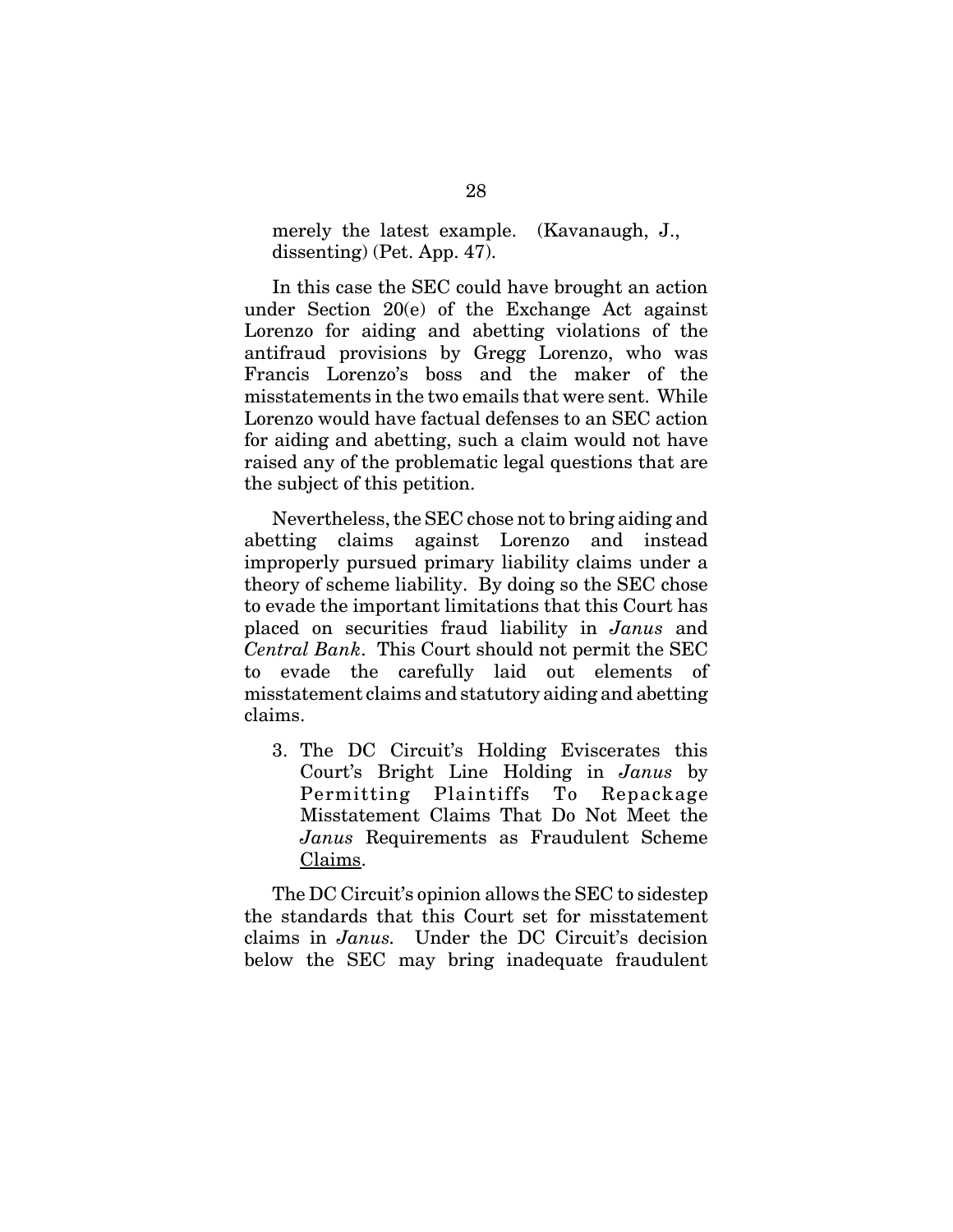merely the latest example. (Kavanaugh, J., dissenting) (Pet. App. 47).

In this case the SEC could have brought an action under Section 20(e) of the Exchange Act against Lorenzo for aiding and abetting violations of the antifraud provisions by Gregg Lorenzo, who was Francis Lorenzo's boss and the maker of the misstatements in the two emails that were sent. While Lorenzo would have factual defenses to an SEC action for aiding and abetting, such a claim would not have raised any of the problematic legal questions that are the subject of this petition.

Nevertheless, the SEC chose not to bring aiding and abetting claims against Lorenzo and instead improperly pursued primary liability claims under a theory of scheme liability. By doing so the SEC chose to evade the important limitations that this Court has placed on securities fraud liability in *Janus* and *Central Bank*. This Court should not permit the SEC to evade the carefully laid out elements of misstatement claims and statutory aiding and abetting claims.

3. The DC Circuit's Holding Eviscerates this Court's Bright Line Holding in *Janus* by Permitting Plaintiffs To Repackage Misstatement Claims That Do Not Meet the *Janus* Requirements as Fraudulent Scheme Claims.

The DC Circuit's opinion allows the SEC to sidestep the standards that this Court set for misstatement claims in *Janus.* Under the DC Circuit's decision below the SEC may bring inadequate fraudulent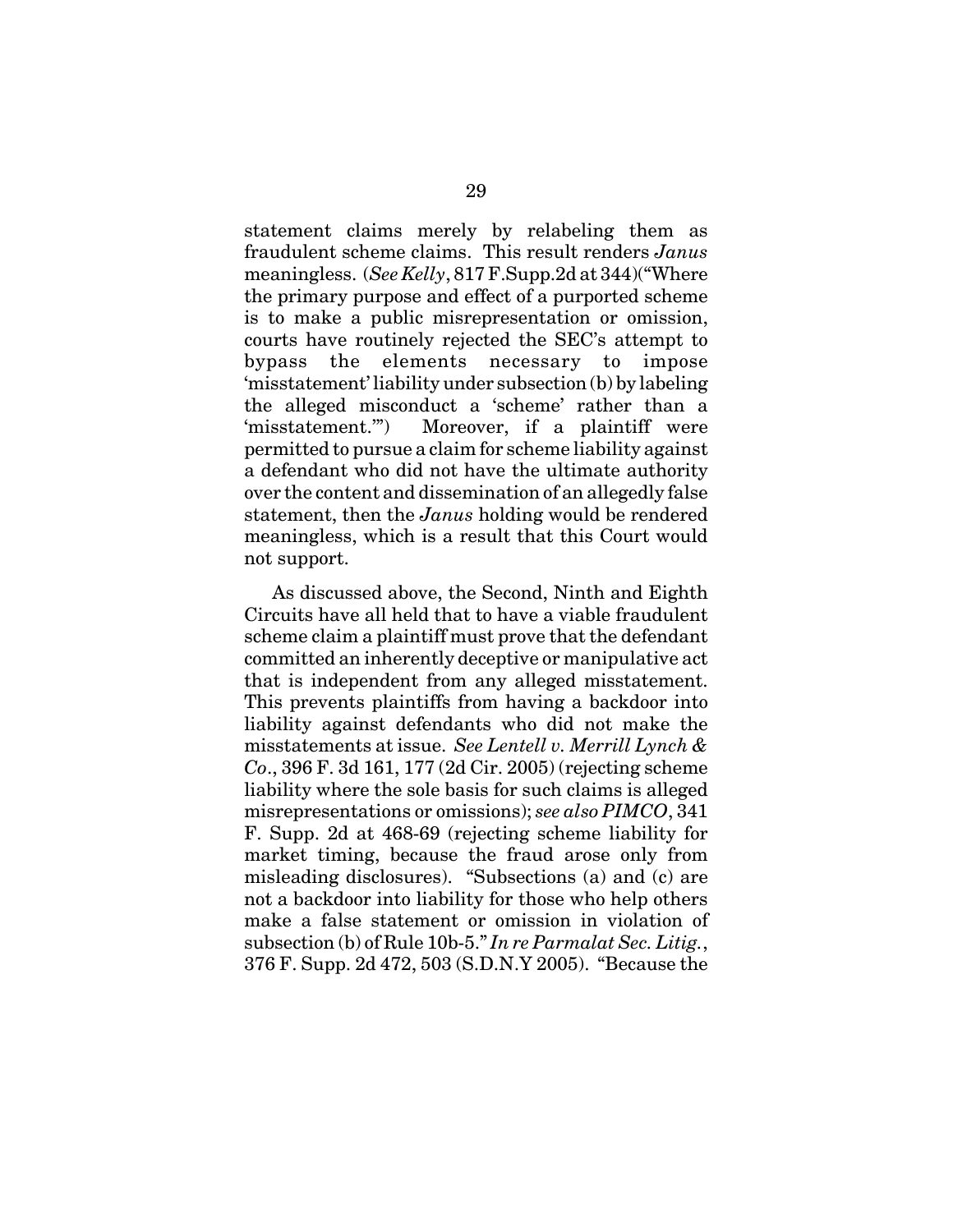statement claims merely by relabeling them as fraudulent scheme claims. This result renders *Janus* meaningless. (*See Kelly*, 817 F.Supp.2d at 344)("Where the primary purpose and effect of a purported scheme is to make a public misrepresentation or omission, courts have routinely rejected the SEC's attempt to bypass the elements necessary to impose 'misstatement' liability under subsection (b) by labeling the alleged misconduct a 'scheme' rather than a 'misstatement.'") Moreover, if a plaintiff were permitted to pursue a claim for scheme liability against a defendant who did not have the ultimate authority over the content and dissemination of an allegedly false statement, then the *Janus* holding would be rendered meaningless, which is a result that this Court would not support.

As discussed above, the Second, Ninth and Eighth Circuits have all held that to have a viable fraudulent scheme claim a plaintiff must prove that the defendant committed an inherently deceptive or manipulative act that is independent from any alleged misstatement. This prevents plaintiffs from having a backdoor into liability against defendants who did not make the misstatements at issue. *See Lentell v. Merrill Lynch & Co*., 396 F. 3d 161, 177 (2d Cir. 2005) (rejecting scheme liability where the sole basis for such claims is alleged misrepresentations or omissions); *see also PIMCO*, 341 F. Supp. 2d at 468-69 (rejecting scheme liability for market timing, because the fraud arose only from misleading disclosures). "Subsections (a) and (c) are not a backdoor into liability for those who help others make a false statement or omission in violation of subsection (b) of Rule 10b-5." *In re Parmalat Sec. Litig.*, 376 F. Supp. 2d 472, 503 (S.D.N.Y 2005). "Because the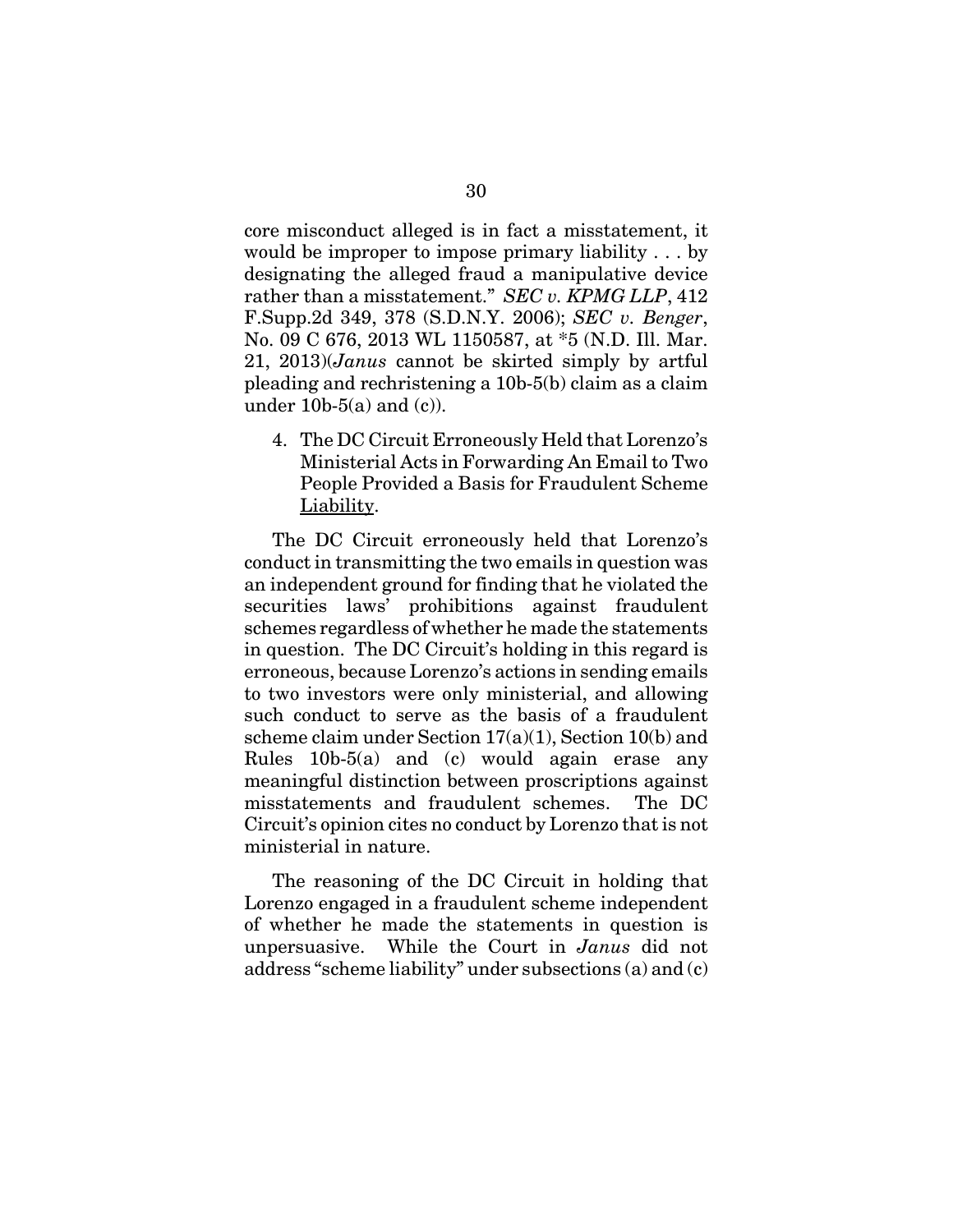core misconduct alleged is in fact a misstatement, it would be improper to impose primary liability . . . by designating the alleged fraud a manipulative device rather than a misstatement." *SEC v. KPMG LLP*, 412 F.Supp.2d 349, 378 (S.D.N.Y. 2006); *SEC v. Benger*, No. 09 C 676, 2013 WL 1150587, at \*5 (N.D. Ill. Mar. 21, 2013)(*Janus* cannot be skirted simply by artful pleading and rechristening a 10b-5(b) claim as a claim under  $10b-5(a)$  and  $(c)$ ).

4. The DC Circuit Erroneously Held that Lorenzo's Ministerial Acts in Forwarding An Email to Two People Provided a Basis for Fraudulent Scheme Liability.

The DC Circuit erroneously held that Lorenzo's conduct in transmitting the two emails in question was an independent ground for finding that he violated the securities laws' prohibitions against fraudulent schemes regardless of whether he made the statements in question. The DC Circuit's holding in this regard is erroneous, because Lorenzo's actions in sending emails to two investors were only ministerial, and allowing such conduct to serve as the basis of a fraudulent scheme claim under Section 17(a)(1), Section 10(b) and Rules 10b-5(a) and (c) would again erase any meaningful distinction between proscriptions against misstatements and fraudulent schemes. The DC Circuit's opinion cites no conduct by Lorenzo that is not ministerial in nature.

The reasoning of the DC Circuit in holding that Lorenzo engaged in a fraudulent scheme independent of whether he made the statements in question is unpersuasive. While the Court in *Janus* did not address "scheme liability" under subsections (a) and (c)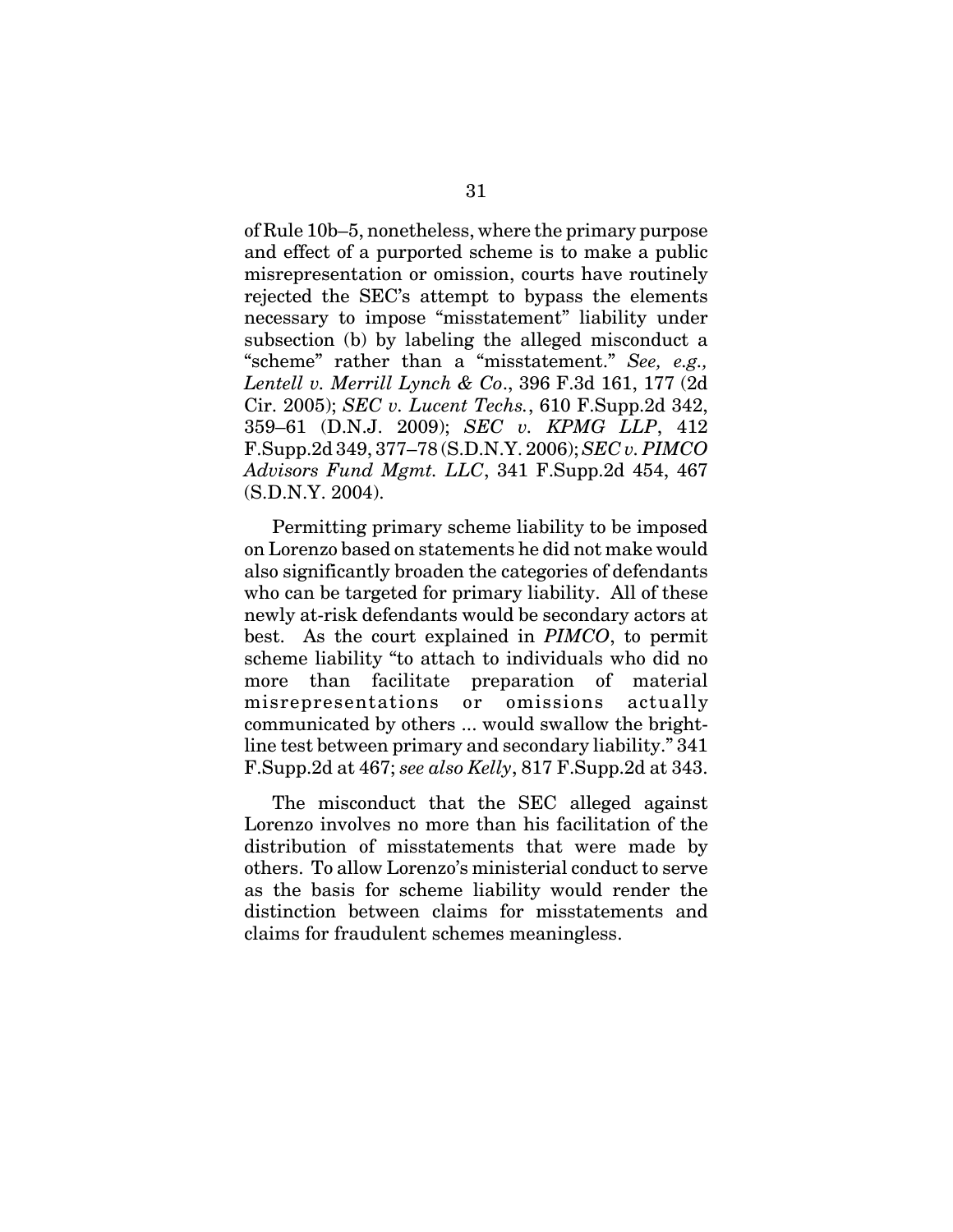of Rule 10b–5, nonetheless, where the primary purpose and effect of a purported scheme is to make a public misrepresentation or omission, courts have routinely rejected the SEC's attempt to bypass the elements necessary to impose "misstatement" liability under subsection (b) by labeling the alleged misconduct a "scheme" rather than a "misstatement." *See, e.g., Lentell v. Merrill Lynch & Co*., 396 F.3d 161, 177 (2d Cir. 2005); *SEC v. Lucent Techs.*, 610 F.Supp.2d 342, 359–61 (D.N.J. 2009); *SEC v. KPMG LLP*, 412 F.Supp.2d 349, 377–78 (S.D.N.Y. 2006); *SEC v. PIMCO Advisors Fund Mgmt. LLC*, 341 F.Supp.2d 454, 467 (S.D.N.Y. 2004).

Permitting primary scheme liability to be imposed on Lorenzo based on statements he did not make would also significantly broaden the categories of defendants who can be targeted for primary liability. All of these newly at-risk defendants would be secondary actors at best. As the court explained in *PIMCO*, to permit scheme liability "to attach to individuals who did no more than facilitate preparation of material misrepresentations or omissions actually communicated by others ... would swallow the brightline test between primary and secondary liability." 341 F.Supp.2d at 467; *see also Kelly*, 817 F.Supp.2d at 343.

The misconduct that the SEC alleged against Lorenzo involves no more than his facilitation of the distribution of misstatements that were made by others. To allow Lorenzo's ministerial conduct to serve as the basis for scheme liability would render the distinction between claims for misstatements and claims for fraudulent schemes meaningless.